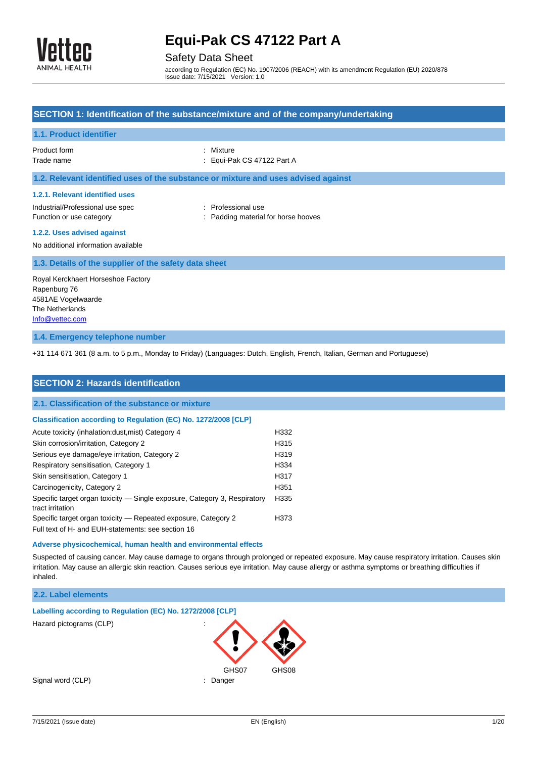

### Safety Data Sheet

according to Regulation (EC) No. 1907/2006 (REACH) with its amendment Regulation (EU) 2020/878 Issue date: 7/15/2021 Version: 1.0

## **SECTION 1: Identification of the substance/mixture and of the company/undertaking 1.1. Product identifier** Product form : Nixture Trade name  $\qquad \qquad :$  Equi-Pak CS 47122 Part A **1.2. Relevant identified uses of the substance or mixture and uses advised against 1.2.1. Relevant identified uses** Industrial/Professional use spec : Professional use Function or use category **Example 20** Function or use category **in the state of the state of the S** Function or use  $\mathbb{R}$ **1.2.2. Uses advised against** No additional information available **1.3. Details of the supplier of the safety data sheet** Royal Kerckhaert Horseshoe Factory Rapenburg 76 4581AE Vogelwaarde The Netherlands

[Info@vettec.com](mailto:Info@vettec.com)

#### **1.4. Emergency telephone number**

+31 114 671 361 (8 a.m. to 5 p.m., Monday to Friday) (Languages: Dutch, English, French, Italian, German and Portuguese)

| <b>SECTION 2: Hazards identification</b>                                  |      |
|---------------------------------------------------------------------------|------|
| 2.1. Classification of the substance or mixture                           |      |
| Classification according to Regulation (EC) No. 1272/2008 [CLP]           |      |
| Acute toxicity (inhalation:dust, mist) Category 4                         | H332 |
| Skin corrosion/irritation, Category 2                                     | H315 |
| Serious eye damage/eye irritation, Category 2                             | H319 |
| Respiratory sensitisation, Category 1                                     | H334 |
| Skin sensitisation, Category 1                                            | H317 |
| Carcinogenicity, Category 2                                               | H351 |
| Specific target organ toxicity — Single exposure, Category 3, Respiratory | H335 |
| tract irritation                                                          |      |
| Specific target organ toxicity – Repeated exposure, Category 2            | H373 |
| Full text of H- and EUH-statements: see section 16                        |      |

#### **Adverse physicochemical, human health and environmental effects**

Suspected of causing cancer. May cause damage to organs through prolonged or repeated exposure. May cause respiratory irritation. Causes skin irritation. May cause an allergic skin reaction. Causes serious eye irritation. May cause allergy or asthma symptoms or breathing difficulties if inhaled.

### **2.2. Label elements**

| Labelling according to Regulation (EC) No. 1272/2008 [CLP] |                     |       |
|------------------------------------------------------------|---------------------|-------|
| Hazard pictograms (CLP)                                    | ٠<br>$\blacksquare$ |       |
|                                                            | GHS07               | GHS08 |
| Signal word (CLP)                                          | Danger              |       |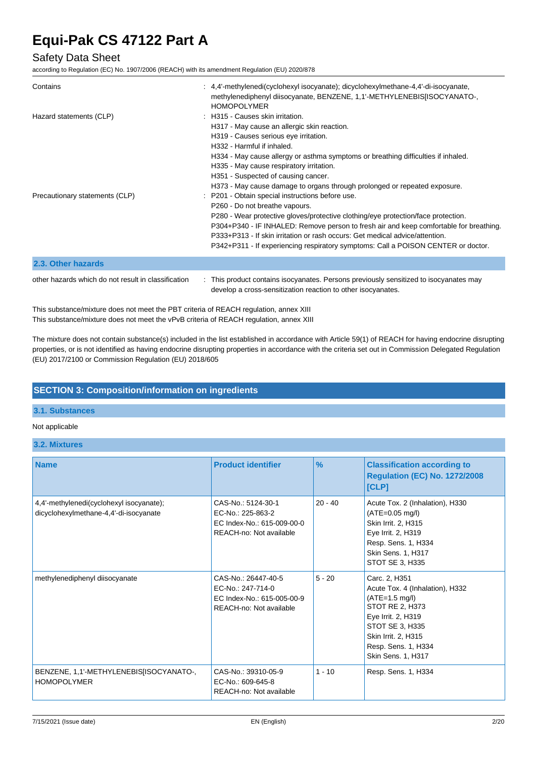### Safety Data Sheet

according to Regulation (EC) No. 1907/2006 (REACH) with its amendment Regulation (EU) 2020/878

| Contains                                            | : 4,4'-methylenedi(cyclohexyl isocyanate); dicyclohexylmethane-4,4'-di-isocyanate,<br>methylenediphenyl diisocyanate, BENZENE, 1,1'-METHYLENEBIS[ISOCYANATO-,<br><b>HOMOPOLYMER</b>                                                                                                                                                                                                                                                                                                                                 |
|-----------------------------------------------------|---------------------------------------------------------------------------------------------------------------------------------------------------------------------------------------------------------------------------------------------------------------------------------------------------------------------------------------------------------------------------------------------------------------------------------------------------------------------------------------------------------------------|
| Hazard statements (CLP)                             | : H315 - Causes skin irritation.<br>H317 - May cause an allergic skin reaction.<br>H319 - Causes serious eye irritation.<br>H332 - Harmful if inhaled.<br>H334 - May cause allergy or asthma symptoms or breathing difficulties if inhaled.<br>H335 - May cause respiratory irritation.<br>H351 - Suspected of causing cancer.                                                                                                                                                                                      |
| Precautionary statements (CLP)                      | H373 - May cause damage to organs through prolonged or repeated exposure.<br>: P201 - Obtain special instructions before use.<br>P260 - Do not breathe vapours.<br>P280 - Wear protective gloves/protective clothing/eye protection/face protection.<br>P304+P340 - IF INHALED: Remove person to fresh air and keep comfortable for breathing.<br>P333+P313 - If skin irritation or rash occurs: Get medical advice/attention.<br>P342+P311 - If experiencing respiratory symptoms: Call a POISON CENTER or doctor. |
| 2.3. Other hazards                                  |                                                                                                                                                                                                                                                                                                                                                                                                                                                                                                                     |
| other hazards which do not result in classification | This product contains isocyanates. Persons previously sensitized to isocyanates may                                                                                                                                                                                                                                                                                                                                                                                                                                 |

develop a cross-sensitization reaction to other isocyanates.

This substance/mixture does not meet the PBT criteria of REACH regulation, annex XIII This substance/mixture does not meet the vPvB criteria of REACH regulation, annex XIII

The mixture does not contain substance(s) included in the list established in accordance with Article 59(1) of REACH for having endocrine disrupting properties, or is not identified as having endocrine disrupting properties in accordance with the criteria set out in Commission Delegated Regulation (EU) 2017/2100 or Commission Regulation (EU) 2018/605

### **SECTION 3: Composition/information on ingredients**

### **3.1. Substances**

#### Not applicable

**3.2. Mixtures**

| <b>Name</b>                                                                        | <b>Product identifier</b>                                                                         | $\frac{9}{6}$ | <b>Classification according to</b><br><b>Regulation (EC) No. 1272/2008</b><br>[CLP]                                                                                                                  |
|------------------------------------------------------------------------------------|---------------------------------------------------------------------------------------------------|---------------|------------------------------------------------------------------------------------------------------------------------------------------------------------------------------------------------------|
| 4,4'-methylenedi(cyclohexyl isocyanate);<br>dicyclohexylmethane-4,4'-di-isocyanate | CAS-No.: 5124-30-1<br>EC-No.: 225-863-2<br>EC Index-No.: 615-009-00-0<br>REACH-no: Not available  | $20 - 40$     | Acute Tox. 2 (Inhalation), H330<br>$(ATE=0.05 mg/l)$<br>Skin Irrit. 2, H315<br>Eye Irrit. 2, H319<br>Resp. Sens. 1, H334<br>Skin Sens. 1, H317<br>STOT SE 3, H335                                    |
| methylenediphenyl diisocyanate                                                     | CAS-No.: 26447-40-5<br>EC-No.: 247-714-0<br>EC Index-No.: 615-005-00-9<br>REACH-no: Not available | $5 - 20$      | Carc. 2, H351<br>Acute Tox. 4 (Inhalation), H332<br>$(ATE=1.5 mg/l)$<br>STOT RE 2, H373<br>Eye Irrit. 2, H319<br>STOT SE 3, H335<br>Skin Irrit. 2, H315<br>Resp. Sens. 1, H334<br>Skin Sens. 1, H317 |
| BENZENE, 1,1'-METHYLENEBIS[ISOCYANATO-,<br><b>HOMOPOLYMER</b>                      | CAS-No.: 39310-05-9<br>EC-No.: 609-645-8<br>REACH-no: Not available                               | $1 - 10$      | Resp. Sens. 1, H334                                                                                                                                                                                  |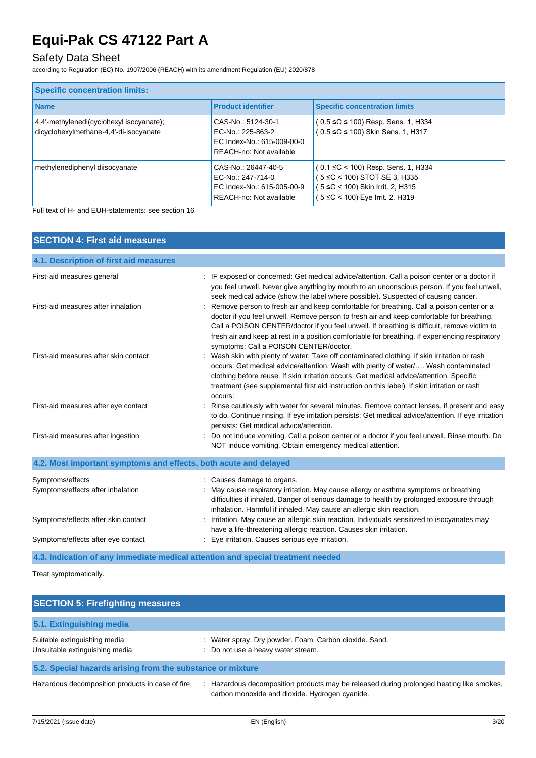## Safety Data Sheet

according to Regulation (EC) No. 1907/2006 (REACH) with its amendment Regulation (EU) 2020/878

| <b>Specific concentration limits:</b>                                              |                                                                                                   |                                                                                                                                                    |  |
|------------------------------------------------------------------------------------|---------------------------------------------------------------------------------------------------|----------------------------------------------------------------------------------------------------------------------------------------------------|--|
| <b>Name</b>                                                                        | <b>Product identifier</b>                                                                         | <b>Specific concentration limits</b>                                                                                                               |  |
| 4,4'-methylenedi(cyclohexyl isocyanate);<br>dicyclohexylmethane-4,4'-di-isocyanate | CAS-No.: 5124-30-1<br>EC-No.: 225-863-2<br>EC Index-No.: 615-009-00-0<br>REACH-no: Not available  | $(0.5 \leq C \leq 100)$ Resp. Sens. 1, H334<br>(0.5 ≤C ≤ 100) Skin Sens. 1, H317                                                                   |  |
| methylenediphenyl diisocyanate                                                     | CAS-No.: 26447-40-5<br>EC-No.: 247-714-0<br>EC Index-No.: 615-005-00-9<br>REACH-no: Not available | $(0.1 \leq C < 100)$ Resp. Sens. 1, H334<br>( 5 ≤C < 100) STOT SE 3, H335<br>( 5 ≤C < 100) Skin Irrit. 2, H315<br>( 5 ≤C < 100) Eye Irrit. 2, H319 |  |

Full text of H- and EUH-statements: see section 16

| <b>SECTION 4: First aid measures</b>                             |                                                                                                                                                                                                                                                                                                                                                                                                                                     |
|------------------------------------------------------------------|-------------------------------------------------------------------------------------------------------------------------------------------------------------------------------------------------------------------------------------------------------------------------------------------------------------------------------------------------------------------------------------------------------------------------------------|
| 4.1. Description of first aid measures                           |                                                                                                                                                                                                                                                                                                                                                                                                                                     |
| First-aid measures general                                       | : IF exposed or concerned: Get medical advice/attention. Call a poison center or a doctor if<br>you feel unwell. Never give anything by mouth to an unconscious person. If you feel unwell,<br>seek medical advice (show the label where possible). Suspected of causing cancer.                                                                                                                                                    |
| First-aid measures after inhalation                              | : Remove person to fresh air and keep comfortable for breathing. Call a poison center or a<br>doctor if you feel unwell. Remove person to fresh air and keep comfortable for breathing.<br>Call a POISON CENTER/doctor if you feel unwell. If breathing is difficult, remove victim to<br>fresh air and keep at rest in a position comfortable for breathing. If experiencing respiratory<br>symptoms: Call a POISON CENTER/doctor. |
| First-aid measures after skin contact                            | : Wash skin with plenty of water. Take off contaminated clothing. If skin irritation or rash<br>occurs: Get medical advice/attention. Wash with plenty of water/ Wash contaminated<br>clothing before reuse. If skin irritation occurs: Get medical advice/attention. Specific<br>treatment (see supplemental first aid instruction on this label). If skin irritation or rash<br>occurs:                                           |
| First-aid measures after eye contact                             | Rinse cautiously with water for several minutes. Remove contact lenses, if present and easy<br>to do. Continue rinsing. If eye irritation persists: Get medical advice/attention. If eye irritation<br>persists: Get medical advice/attention.                                                                                                                                                                                      |
| First-aid measures after ingestion                               | Do not induce vomiting. Call a poison center or a doctor if you feel unwell. Rinse mouth. Do<br>NOT induce vomiting. Obtain emergency medical attention.                                                                                                                                                                                                                                                                            |
| 4.2. Most important symptoms and effects, both acute and delayed |                                                                                                                                                                                                                                                                                                                                                                                                                                     |
| Symptoms/effects                                                 | : Causes damage to organs.                                                                                                                                                                                                                                                                                                                                                                                                          |
| Symptoms/effects after inhalation                                | : May cause respiratory irritation. May cause allergy or asthma symptoms or breathing<br>difficulties if inhaled. Danger of serious damage to health by prolonged exposure through<br>inhalation. Harmful if inhaled. May cause an allergic skin reaction.                                                                                                                                                                          |
| Symptoms/effects after skin contact                              | Irritation. May cause an allergic skin reaction. Individuals sensitized to isocyanates may<br>have a life-threatening allergic reaction. Causes skin irritation.                                                                                                                                                                                                                                                                    |
| Symptoms/effects after eye contact                               | : Eye irritation. Causes serious eye irritation.                                                                                                                                                                                                                                                                                                                                                                                    |
|                                                                  | 4.3. Indication of any immediate medical attention and special treatment needed                                                                                                                                                                                                                                                                                                                                                     |

Treat symptomatically.

| <b>SECTION 5: Firefighting measures</b>                        |                                                                                                                                               |  |
|----------------------------------------------------------------|-----------------------------------------------------------------------------------------------------------------------------------------------|--|
| 5.1. Extinguishing media                                       |                                                                                                                                               |  |
| Suitable extinguishing media<br>Unsuitable extinguishing media | Water spray. Dry powder. Foam. Carbon dioxide. Sand.<br>: Do not use a heavy water stream.                                                    |  |
| 5.2. Special hazards arising from the substance or mixture     |                                                                                                                                               |  |
| Hazardous decomposition products in case of fire               | Hazardous decomposition products may be released during prolonged heating like smokes,<br>÷<br>carbon monoxide and dioxide. Hydrogen cyanide. |  |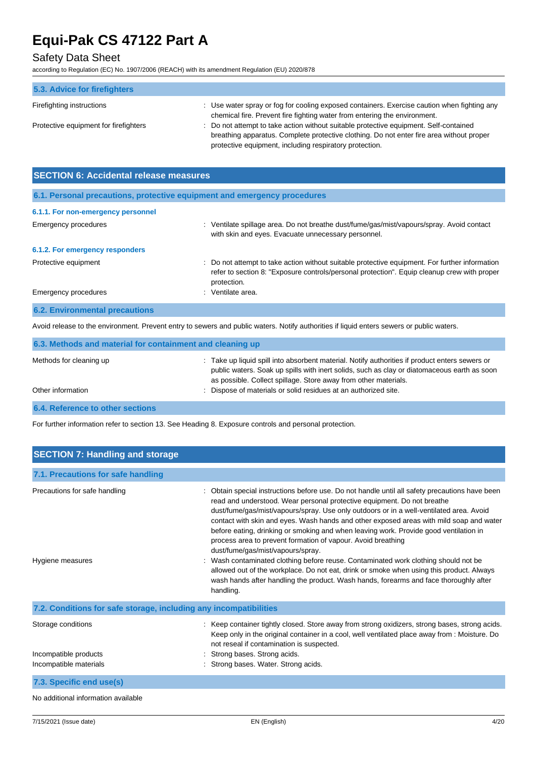## Safety Data Sheet

according to Regulation (EC) No. 1907/2006 (REACH) with its amendment Regulation (EU) 2020/878

| 5.3. Advice for firefighters          |                                                                                             |
|---------------------------------------|---------------------------------------------------------------------------------------------|
| Firefighting instructions             | : Use water spray or fog for cooling exposed containers. Exercise caution when fighting any |
|                                       | chemical fire. Prevent fire fighting water from entering the environment.                   |
| Protective equipment for firefighters | : Do not attempt to take action without suitable protective equipment. Self-contained       |
|                                       | breathing apparatus. Complete protective clothing. Do not enter fire area without proper    |
|                                       | protective equipment, including respiratory protection.                                     |

| <b>SECTION 6: Accidental release measures</b>                            |                                                                                                                                                                                                              |  |
|--------------------------------------------------------------------------|--------------------------------------------------------------------------------------------------------------------------------------------------------------------------------------------------------------|--|
| 6.1. Personal precautions, protective equipment and emergency procedures |                                                                                                                                                                                                              |  |
| 6.1.1. For non-emergency personnel                                       |                                                                                                                                                                                                              |  |
| Emergency procedures                                                     | Ventilate spillage area. Do not breathe dust/fume/gas/mist/vapours/spray. Avoid contact<br>with skin and eyes. Evacuate unnecessary personnel.                                                               |  |
| 6.1.2. For emergency responders                                          |                                                                                                                                                                                                              |  |
| Protective equipment                                                     | : Do not attempt to take action without suitable protective equipment. For further information<br>refer to section 8: "Exposure controls/personal protection". Equip cleanup crew with proper<br>protection. |  |
| Emergency procedures                                                     | Ventilate area.                                                                                                                                                                                              |  |
| <b>6.2. Environmental precautions</b>                                    |                                                                                                                                                                                                              |  |

Avoid release to the environment. Prevent entry to sewers and public waters. Notify authorities if liquid enters sewers or public waters.

| 6.3. Methods and material for containment and cleaning up |                                                                                                                                                                                                                                                                  |  |
|-----------------------------------------------------------|------------------------------------------------------------------------------------------------------------------------------------------------------------------------------------------------------------------------------------------------------------------|--|
| Methods for cleaning up                                   | : Take up liquid spill into absorbent material. Notify authorities if product enters sewers or<br>public waters. Soak up spills with inert solids, such as clay or diatomaceous earth as soon<br>as possible. Collect spillage. Store away from other materials. |  |
| Other information                                         | : Dispose of materials or solid residues at an authorized site.                                                                                                                                                                                                  |  |
| 6.4. Reference to other sections                          |                                                                                                                                                                                                                                                                  |  |

For further information refer to section 13. See Heading 8. Exposure controls and personal protection.

| <b>SECTION 7: Handling and storage</b>                            |                                                                                                                                                                                                                                                                                                                                                                                                                                                                                                                                                                                                                                                                                                                                                                                                                                                        |  |  |
|-------------------------------------------------------------------|--------------------------------------------------------------------------------------------------------------------------------------------------------------------------------------------------------------------------------------------------------------------------------------------------------------------------------------------------------------------------------------------------------------------------------------------------------------------------------------------------------------------------------------------------------------------------------------------------------------------------------------------------------------------------------------------------------------------------------------------------------------------------------------------------------------------------------------------------------|--|--|
| 7.1. Precautions for safe handling                                |                                                                                                                                                                                                                                                                                                                                                                                                                                                                                                                                                                                                                                                                                                                                                                                                                                                        |  |  |
| Precautions for safe handling<br>Hygiene measures                 | : Obtain special instructions before use. Do not handle until all safety precautions have been<br>read and understood. Wear personal protective equipment. Do not breathe<br>dust/fume/gas/mist/vapours/spray. Use only outdoors or in a well-ventilated area. Avoid<br>contact with skin and eyes. Wash hands and other exposed areas with mild soap and water<br>before eating, drinking or smoking and when leaving work. Provide good ventilation in<br>process area to prevent formation of vapour. Avoid breathing<br>dust/fume/gas/mist/vapours/spray.<br>: Wash contaminated clothing before reuse. Contaminated work clothing should not be<br>allowed out of the workplace. Do not eat, drink or smoke when using this product. Always<br>wash hands after handling the product. Wash hands, forearms and face thoroughly after<br>handling. |  |  |
| 7.2. Conditions for safe storage, including any incompatibilities |                                                                                                                                                                                                                                                                                                                                                                                                                                                                                                                                                                                                                                                                                                                                                                                                                                                        |  |  |
| Storage conditions<br>Incompatible products                       | : Keep container tightly closed. Store away from strong oxidizers, strong bases, strong acids.<br>Keep only in the original container in a cool, well ventilated place away from : Moisture. Do<br>not reseal if contamination is suspected.<br>: Strong bases. Strong acids.                                                                                                                                                                                                                                                                                                                                                                                                                                                                                                                                                                          |  |  |
| Incompatible materials                                            | : Strong bases. Water. Strong acids.                                                                                                                                                                                                                                                                                                                                                                                                                                                                                                                                                                                                                                                                                                                                                                                                                   |  |  |
| 7.3. Specific end use(s)                                          |                                                                                                                                                                                                                                                                                                                                                                                                                                                                                                                                                                                                                                                                                                                                                                                                                                                        |  |  |
| No additional information available                               |                                                                                                                                                                                                                                                                                                                                                                                                                                                                                                                                                                                                                                                                                                                                                                                                                                                        |  |  |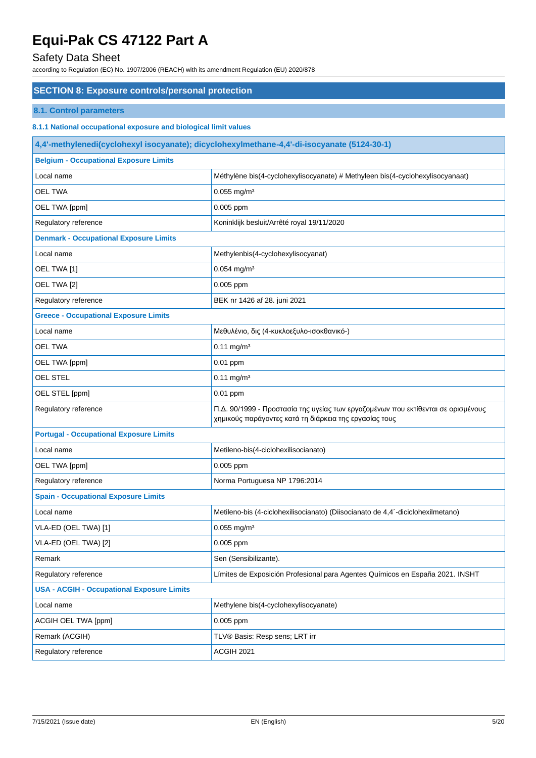### Safety Data Sheet

according to Regulation (EC) No. 1907/2006 (REACH) with its amendment Regulation (EU) 2020/878

### **SECTION 8: Exposure controls/personal protection**

### **8.1. Control parameters**

**8.1.1 National occupational exposure and biological limit values**

| 4,4'-methylenedi(cyclohexyl isocyanate); dicyclohexylmethane-4,4'-di-isocyanate (5124-30-1) |                                                                                                                                            |  |  |
|---------------------------------------------------------------------------------------------|--------------------------------------------------------------------------------------------------------------------------------------------|--|--|
| <b>Belgium - Occupational Exposure Limits</b>                                               |                                                                                                                                            |  |  |
| Local name                                                                                  | Méthylène bis(4-cyclohexylisocyanate) # Methyleen bis(4-cyclohexylisocyanaat)                                                              |  |  |
| <b>OEL TWA</b>                                                                              | $0.055$ mg/m <sup>3</sup>                                                                                                                  |  |  |
| OEL TWA [ppm]                                                                               | 0.005 ppm                                                                                                                                  |  |  |
| Regulatory reference                                                                        | Koninklijk besluit/Arrêté royal 19/11/2020                                                                                                 |  |  |
| <b>Denmark - Occupational Exposure Limits</b>                                               |                                                                                                                                            |  |  |
| Local name                                                                                  | Methylenbis(4-cyclohexylisocyanat)                                                                                                         |  |  |
| OEL TWA [1]                                                                                 | $0.054$ mg/m <sup>3</sup>                                                                                                                  |  |  |
| OEL TWA [2]                                                                                 | 0.005 ppm                                                                                                                                  |  |  |
| Regulatory reference                                                                        | BEK nr 1426 af 28. juni 2021                                                                                                               |  |  |
| <b>Greece - Occupational Exposure Limits</b>                                                |                                                                                                                                            |  |  |
| Local name                                                                                  | Μεθυλένιο, δις (4-κυκλοεξυλο-ισοκθανικό-)                                                                                                  |  |  |
| <b>OEL TWA</b>                                                                              | $0.11$ mg/m <sup>3</sup>                                                                                                                   |  |  |
| OEL TWA [ppm]                                                                               | $0.01$ ppm                                                                                                                                 |  |  |
| <b>OEL STEL</b>                                                                             | $0.11$ mg/m <sup>3</sup>                                                                                                                   |  |  |
| OEL STEL [ppm]                                                                              | 0.01 ppm                                                                                                                                   |  |  |
| Regulatory reference                                                                        | Π.Δ. 90/1999 - Προστασία της υγείας των εργαζομένων που εκτίθενται σε ορισμένους<br>χημικούς παράγοντες κατά τη διάρκεια της εργασίας τους |  |  |
| <b>Portugal - Occupational Exposure Limits</b>                                              |                                                                                                                                            |  |  |
| Local name                                                                                  | Metileno-bis(4-ciclohexilisocianato)                                                                                                       |  |  |
| OEL TWA [ppm]                                                                               | 0.005 ppm                                                                                                                                  |  |  |
| Regulatory reference                                                                        | Norma Portuguesa NP 1796:2014                                                                                                              |  |  |
| <b>Spain - Occupational Exposure Limits</b>                                                 |                                                                                                                                            |  |  |
| Local name                                                                                  | Metileno-bis (4-ciclohexilisocianato) (Diisocianato de 4,4'-diciclohexilmetano)                                                            |  |  |
| VLA-ED (OEL TWA) [1]                                                                        | $0.055$ mg/m <sup>3</sup>                                                                                                                  |  |  |
| VLA-ED (OEL TWA) [2]                                                                        | 0.005 ppm                                                                                                                                  |  |  |
| Remark                                                                                      | Sen (Sensibilizante).                                                                                                                      |  |  |
| Regulatory reference                                                                        | Límites de Exposición Profesional para Agentes Químicos en España 2021. INSHT                                                              |  |  |
| <b>USA - ACGIH - Occupational Exposure Limits</b>                                           |                                                                                                                                            |  |  |
| Local name                                                                                  | Methylene bis(4-cyclohexylisocyanate)                                                                                                      |  |  |
| ACGIH OEL TWA [ppm]                                                                         | $0.005$ ppm                                                                                                                                |  |  |
| Remark (ACGIH)                                                                              | TLV® Basis: Resp sens; LRT irr                                                                                                             |  |  |
| Regulatory reference                                                                        | ACGIH 2021                                                                                                                                 |  |  |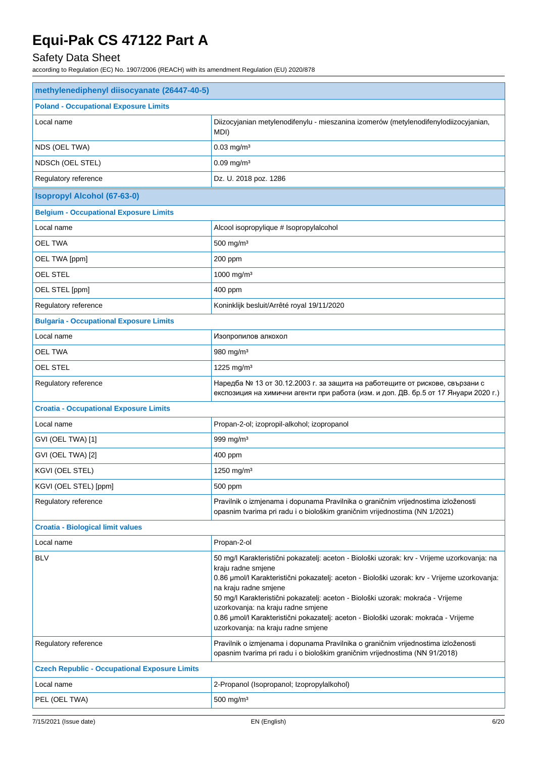## Safety Data Sheet

| methylenediphenyl diisocyanate (26447-40-5)          |                                                                                                                                                                                                                                                                                                                                                                                                                                                                                                  |  |
|------------------------------------------------------|--------------------------------------------------------------------------------------------------------------------------------------------------------------------------------------------------------------------------------------------------------------------------------------------------------------------------------------------------------------------------------------------------------------------------------------------------------------------------------------------------|--|
| <b>Poland - Occupational Exposure Limits</b>         |                                                                                                                                                                                                                                                                                                                                                                                                                                                                                                  |  |
| Local name                                           | Diizocyjanian metylenodifenylu - mieszanina izomerów (metylenodifenylodiizocyjanian,<br>MDI)                                                                                                                                                                                                                                                                                                                                                                                                     |  |
| NDS (OEL TWA)                                        | $0.03$ mg/m <sup>3</sup>                                                                                                                                                                                                                                                                                                                                                                                                                                                                         |  |
| NDSCh (OEL STEL)                                     | $0.09$ mg/m <sup>3</sup>                                                                                                                                                                                                                                                                                                                                                                                                                                                                         |  |
| Regulatory reference                                 | Dz. U. 2018 poz. 1286                                                                                                                                                                                                                                                                                                                                                                                                                                                                            |  |
| <b>Isopropyl Alcohol (67-63-0)</b>                   |                                                                                                                                                                                                                                                                                                                                                                                                                                                                                                  |  |
| <b>Belgium - Occupational Exposure Limits</b>        |                                                                                                                                                                                                                                                                                                                                                                                                                                                                                                  |  |
| Local name                                           | Alcool isopropylique # Isopropylalcohol                                                                                                                                                                                                                                                                                                                                                                                                                                                          |  |
| <b>OEL TWA</b>                                       | 500 mg/m <sup>3</sup>                                                                                                                                                                                                                                                                                                                                                                                                                                                                            |  |
| OEL TWA [ppm]                                        | 200 ppm                                                                                                                                                                                                                                                                                                                                                                                                                                                                                          |  |
| <b>OEL STEL</b>                                      | 1000 mg/m <sup>3</sup>                                                                                                                                                                                                                                                                                                                                                                                                                                                                           |  |
| OEL STEL [ppm]                                       | 400 ppm                                                                                                                                                                                                                                                                                                                                                                                                                                                                                          |  |
| Regulatory reference                                 | Koninklijk besluit/Arrêté royal 19/11/2020                                                                                                                                                                                                                                                                                                                                                                                                                                                       |  |
| <b>Bulgaria - Occupational Exposure Limits</b>       |                                                                                                                                                                                                                                                                                                                                                                                                                                                                                                  |  |
| Local name                                           | Изопропилов алкохол                                                                                                                                                                                                                                                                                                                                                                                                                                                                              |  |
| <b>OEL TWA</b>                                       | 980 mg/m <sup>3</sup>                                                                                                                                                                                                                                                                                                                                                                                                                                                                            |  |
| OEL STEL                                             | 1225 mg/m <sup>3</sup>                                                                                                                                                                                                                                                                                                                                                                                                                                                                           |  |
| Regulatory reference                                 | Наредба № 13 от 30.12.2003 г. за защита на работещите от рискове, свързани с<br>експозиция на химични агенти при работа (изм. и доп. ДВ. бр.5 от 17 Януари 2020 г.)                                                                                                                                                                                                                                                                                                                              |  |
| <b>Croatia - Occupational Exposure Limits</b>        |                                                                                                                                                                                                                                                                                                                                                                                                                                                                                                  |  |
| Local name                                           | Propan-2-ol; izopropil-alkohol; izopropanol                                                                                                                                                                                                                                                                                                                                                                                                                                                      |  |
| GVI (OEL TWA) [1]                                    | 999 mg/m <sup>3</sup>                                                                                                                                                                                                                                                                                                                                                                                                                                                                            |  |
| GVI (OEL TWA) [2]                                    | 400 ppm                                                                                                                                                                                                                                                                                                                                                                                                                                                                                          |  |
| KGVI (OEL STEL)                                      | 1250 mg/m <sup>3</sup>                                                                                                                                                                                                                                                                                                                                                                                                                                                                           |  |
| KGVI (OEL STEL) [ppm]                                | 500 ppm                                                                                                                                                                                                                                                                                                                                                                                                                                                                                          |  |
| Regulatory reference                                 | Pravilnik o izmjenama i dopunama Pravilnika o graničnim vrijednostima izloženosti<br>opasnim tvarima pri radu i o biološkim graničnim vrijednostima (NN 1/2021)                                                                                                                                                                                                                                                                                                                                  |  |
| <b>Croatia - Biological limit values</b>             |                                                                                                                                                                                                                                                                                                                                                                                                                                                                                                  |  |
| Local name                                           | Propan-2-ol                                                                                                                                                                                                                                                                                                                                                                                                                                                                                      |  |
| <b>BLV</b>                                           | 50 mg/l Karakteristični pokazatelj: aceton - Biološki uzorak: krv - Vrijeme uzorkovanja: na<br>kraju radne smjene<br>0.86 µmol/l Karakteristični pokazatelj: aceton - Biološki uzorak: krv - Vrijeme uzorkovanja:<br>na kraju radne smjene<br>50 mg/l Karakteristični pokazatelj: aceton - Biološki uzorak: mokraća - Vrijeme<br>uzorkovanja: na kraju radne smjene<br>0.86 µmol/l Karakteristični pokazatelj: aceton - Biološki uzorak: mokraća - Vrijeme<br>uzorkovanja: na kraju radne smjene |  |
| Regulatory reference                                 | Pravilnik o izmjenama i dopunama Pravilnika o graničnim vrijednostima izloženosti<br>opasnim tvarima pri radu i o biološkim graničnim vrijednostima (NN 91/2018)                                                                                                                                                                                                                                                                                                                                 |  |
| <b>Czech Republic - Occupational Exposure Limits</b> |                                                                                                                                                                                                                                                                                                                                                                                                                                                                                                  |  |
| Local name                                           | 2-Propanol (Isopropanol; Izopropylalkohol)                                                                                                                                                                                                                                                                                                                                                                                                                                                       |  |
| PEL (OEL TWA)                                        | $500$ mg/m <sup>3</sup>                                                                                                                                                                                                                                                                                                                                                                                                                                                                          |  |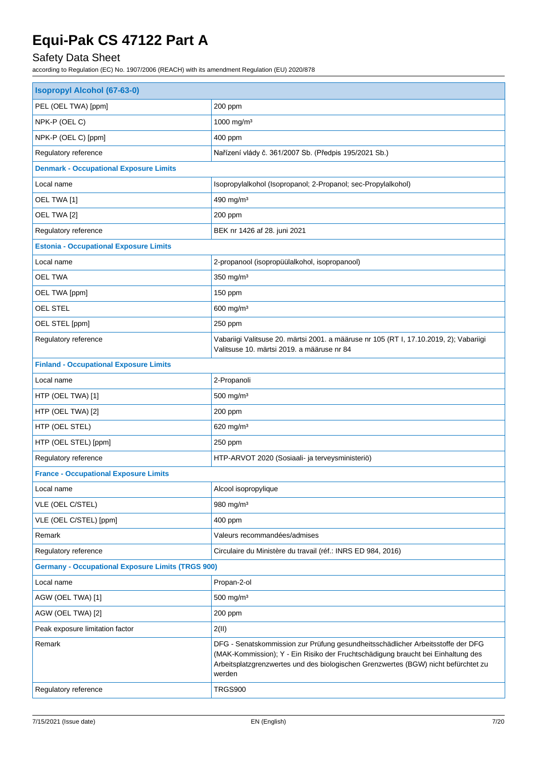## Safety Data Sheet

| <b>Isopropyl Alcohol (67-63-0)</b>                       |                                                                                                                                                                                                                                                                     |  |
|----------------------------------------------------------|---------------------------------------------------------------------------------------------------------------------------------------------------------------------------------------------------------------------------------------------------------------------|--|
| PEL (OEL TWA) [ppm]                                      | 200 ppm                                                                                                                                                                                                                                                             |  |
| NPK-P (OEL C)                                            | 1000 mg/m <sup>3</sup>                                                                                                                                                                                                                                              |  |
| NPK-P (OEL C) [ppm]                                      | 400 ppm                                                                                                                                                                                                                                                             |  |
| Regulatory reference                                     | Nařízení vlády č. 361/2007 Sb. (Předpis 195/2021 Sb.)                                                                                                                                                                                                               |  |
| <b>Denmark - Occupational Exposure Limits</b>            |                                                                                                                                                                                                                                                                     |  |
| Local name                                               | Isopropylalkohol (Isopropanol; 2-Propanol; sec-Propylalkohol)                                                                                                                                                                                                       |  |
| OEL TWA [1]                                              | 490 mg/m <sup>3</sup>                                                                                                                                                                                                                                               |  |
| OEL TWA [2]                                              | 200 ppm                                                                                                                                                                                                                                                             |  |
| Regulatory reference                                     | BEK nr 1426 af 28. juni 2021                                                                                                                                                                                                                                        |  |
| <b>Estonia - Occupational Exposure Limits</b>            |                                                                                                                                                                                                                                                                     |  |
| Local name                                               | 2-propanool (isopropüülalkohol, isopropanool)                                                                                                                                                                                                                       |  |
| <b>OEL TWA</b>                                           | 350 mg/m <sup>3</sup>                                                                                                                                                                                                                                               |  |
| OEL TWA [ppm]                                            | 150 ppm                                                                                                                                                                                                                                                             |  |
| OEL STEL                                                 | 600 mg/m <sup>3</sup>                                                                                                                                                                                                                                               |  |
| OEL STEL [ppm]                                           | 250 ppm                                                                                                                                                                                                                                                             |  |
| Regulatory reference                                     | Vabariigi Valitsuse 20. märtsi 2001. a määruse nr 105 (RT I, 17.10.2019, 2); Vabariigi<br>Valitsuse 10. märtsi 2019. a määruse nr 84                                                                                                                                |  |
| <b>Finland - Occupational Exposure Limits</b>            |                                                                                                                                                                                                                                                                     |  |
| Local name                                               | 2-Propanoli                                                                                                                                                                                                                                                         |  |
| HTP (OEL TWA) [1]                                        | $500$ mg/m <sup>3</sup>                                                                                                                                                                                                                                             |  |
| HTP (OEL TWA) [2]                                        | 200 ppm                                                                                                                                                                                                                                                             |  |
| HTP (OEL STEL)                                           | 620 mg/m $3$                                                                                                                                                                                                                                                        |  |
| HTP (OEL STEL) [ppm]                                     | 250 ppm                                                                                                                                                                                                                                                             |  |
| Regulatory reference                                     | HTP-ARVOT 2020 (Sosiaali- ja terveysministeriö)                                                                                                                                                                                                                     |  |
| <b>France - Occupational Exposure Limits</b>             |                                                                                                                                                                                                                                                                     |  |
| Local name                                               | Alcool isopropylique                                                                                                                                                                                                                                                |  |
| VLE (OEL C/STEL)                                         | 980 mg/m <sup>3</sup>                                                                                                                                                                                                                                               |  |
| VLE (OEL C/STEL) [ppm]                                   | 400 ppm                                                                                                                                                                                                                                                             |  |
| Remark                                                   | Valeurs recommandées/admises                                                                                                                                                                                                                                        |  |
| Regulatory reference                                     | Circulaire du Ministère du travail (réf.: INRS ED 984, 2016)                                                                                                                                                                                                        |  |
| <b>Germany - Occupational Exposure Limits (TRGS 900)</b> |                                                                                                                                                                                                                                                                     |  |
| Local name                                               | Propan-2-ol                                                                                                                                                                                                                                                         |  |
| AGW (OEL TWA) [1]                                        | $500$ mg/m <sup>3</sup>                                                                                                                                                                                                                                             |  |
| AGW (OEL TWA) [2]                                        | 200 ppm                                                                                                                                                                                                                                                             |  |
| Peak exposure limitation factor                          | 2(II)                                                                                                                                                                                                                                                               |  |
| Remark                                                   | DFG - Senatskommission zur Prüfung gesundheitsschädlicher Arbeitsstoffe der DFG<br>(MAK-Kommission); Y - Ein Risiko der Fruchtschädigung braucht bei Einhaltung des<br>Arbeitsplatzgrenzwertes und des biologischen Grenzwertes (BGW) nicht befürchtet zu<br>werden |  |
| Regulatory reference                                     | <b>TRGS900</b>                                                                                                                                                                                                                                                      |  |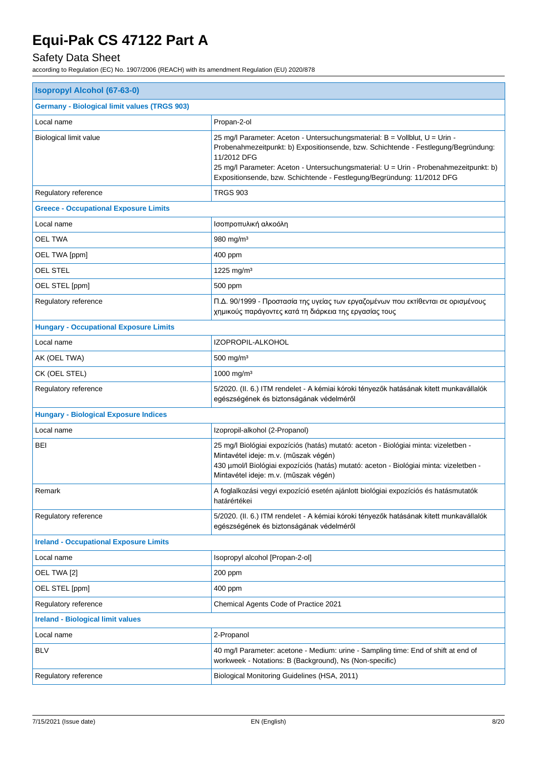## Safety Data Sheet

| <b>Isopropyl Alcohol (67-63-0)</b>                  |                                                                                                                                                                                                                                                                                                                                                     |  |  |
|-----------------------------------------------------|-----------------------------------------------------------------------------------------------------------------------------------------------------------------------------------------------------------------------------------------------------------------------------------------------------------------------------------------------------|--|--|
| <b>Germany - Biological limit values (TRGS 903)</b> |                                                                                                                                                                                                                                                                                                                                                     |  |  |
| Local name                                          | Propan-2-ol                                                                                                                                                                                                                                                                                                                                         |  |  |
| Biological limit value                              | 25 mg/l Parameter: Aceton - Untersuchungsmaterial: B = Vollblut, U = Urin -<br>Probenahmezeitpunkt: b) Expositionsende, bzw. Schichtende - Festlegung/Begründung:<br>11/2012 DFG<br>25 mg/l Parameter: Aceton - Untersuchungsmaterial: U = Urin - Probenahmezeitpunkt: b)<br>Expositionsende, bzw. Schichtende - Festlegung/Begründung: 11/2012 DFG |  |  |
| Regulatory reference                                | <b>TRGS 903</b>                                                                                                                                                                                                                                                                                                                                     |  |  |
| <b>Greece - Occupational Exposure Limits</b>        |                                                                                                                                                                                                                                                                                                                                                     |  |  |
| Local name                                          | Ισοπροπυλική αλκοόλη                                                                                                                                                                                                                                                                                                                                |  |  |
| <b>OEL TWA</b>                                      | 980 mg/m $3$                                                                                                                                                                                                                                                                                                                                        |  |  |
| OEL TWA [ppm]                                       | 400 ppm                                                                                                                                                                                                                                                                                                                                             |  |  |
| OEL STEL                                            | 1225 mg/m <sup>3</sup>                                                                                                                                                                                                                                                                                                                              |  |  |
| OEL STEL [ppm]                                      | 500 ppm                                                                                                                                                                                                                                                                                                                                             |  |  |
| Regulatory reference                                | Π.Δ. 90/1999 - Προστασία της υγείας των εργαζομένων που εκτίθενται σε ορισμένους<br>χημικούς παράγοντες κατά τη διάρκεια της εργασίας τους                                                                                                                                                                                                          |  |  |
| <b>Hungary - Occupational Exposure Limits</b>       |                                                                                                                                                                                                                                                                                                                                                     |  |  |
| Local name                                          | IZOPROPIL-ALKOHOL                                                                                                                                                                                                                                                                                                                                   |  |  |
| AK (OEL TWA)                                        | $500$ mg/m <sup>3</sup>                                                                                                                                                                                                                                                                                                                             |  |  |
| CK (OEL STEL)                                       | 1000 mg/m <sup>3</sup>                                                                                                                                                                                                                                                                                                                              |  |  |
| Regulatory reference                                | 5/2020. (II. 6.) ITM rendelet - A kémiai kóroki tényezők hatásának kitett munkavállalók<br>egészségének és biztonságának védelméről                                                                                                                                                                                                                 |  |  |
| <b>Hungary - Biological Exposure Indices</b>        |                                                                                                                                                                                                                                                                                                                                                     |  |  |
| Local name                                          | Izopropil-alkohol (2-Propanol)                                                                                                                                                                                                                                                                                                                      |  |  |
| BEI                                                 | 25 mg/l Biológiai expozíciós (hatás) mutató: aceton - Biológiai minta: vizeletben -<br>Mintavétel ideje: m.v. (műszak végén)<br>430 µmol/l Biológiai expozíciós (hatás) mutató: aceton - Biológiai minta: vizeletben -<br>Mintavétel ideje: m.v. (műszak végén)                                                                                     |  |  |
| Remark                                              | A foglalkozási vegyi expozíció esetén ajánlott biológiai expozíciós és hatásmutatók<br>határértékei                                                                                                                                                                                                                                                 |  |  |
| Regulatory reference                                | 5/2020. (II. 6.) ITM rendelet - A kémiai kóroki tényezők hatásának kitett munkavállalók<br>egészségének és biztonságának védelméről                                                                                                                                                                                                                 |  |  |
| <b>Ireland - Occupational Exposure Limits</b>       |                                                                                                                                                                                                                                                                                                                                                     |  |  |
| Local name                                          | Isopropyl alcohol [Propan-2-ol]                                                                                                                                                                                                                                                                                                                     |  |  |
| OEL TWA [2]                                         | 200 ppm                                                                                                                                                                                                                                                                                                                                             |  |  |
| OEL STEL [ppm]                                      | 400 ppm                                                                                                                                                                                                                                                                                                                                             |  |  |
| Regulatory reference                                | Chemical Agents Code of Practice 2021                                                                                                                                                                                                                                                                                                               |  |  |
| <b>Ireland - Biological limit values</b>            |                                                                                                                                                                                                                                                                                                                                                     |  |  |
| Local name                                          | 2-Propanol                                                                                                                                                                                                                                                                                                                                          |  |  |
| <b>BLV</b>                                          | 40 mg/l Parameter: acetone - Medium: urine - Sampling time: End of shift at end of<br>workweek - Notations: B (Background), Ns (Non-specific)                                                                                                                                                                                                       |  |  |
| Regulatory reference                                | Biological Monitoring Guidelines (HSA, 2011)                                                                                                                                                                                                                                                                                                        |  |  |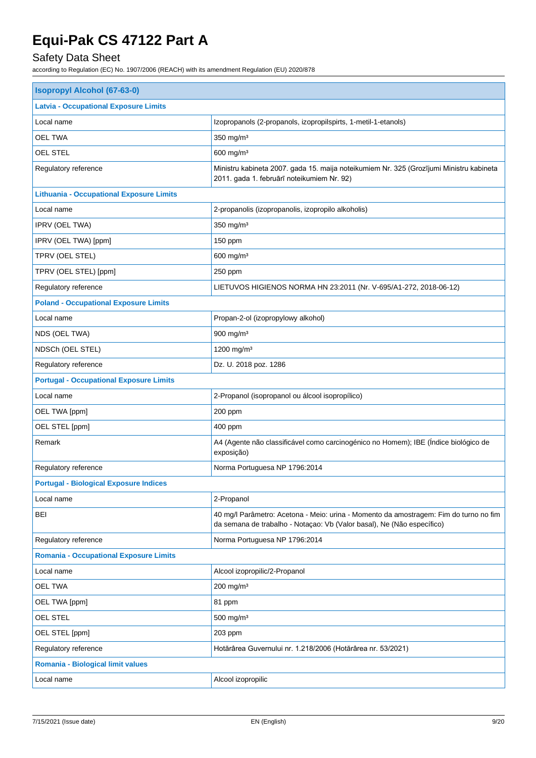## Safety Data Sheet

| <b>Isopropyl Alcohol (67-63-0)</b>              |                                                                                                                                                                 |  |  |
|-------------------------------------------------|-----------------------------------------------------------------------------------------------------------------------------------------------------------------|--|--|
| <b>Latvia - Occupational Exposure Limits</b>    |                                                                                                                                                                 |  |  |
| Local name                                      | Izopropanols (2-propanols, izopropilspirts, 1-metil-1-etanols)                                                                                                  |  |  |
| <b>OEL TWA</b>                                  | 350 mg/m <sup>3</sup>                                                                                                                                           |  |  |
| <b>OEL STEL</b>                                 | 600 mg/m <sup>3</sup>                                                                                                                                           |  |  |
| Regulatory reference                            | Ministru kabineta 2007. gada 15. maija noteikumiem Nr. 325 (Grozījumi Ministru kabineta<br>2011. gada 1. februārī noteikumiem Nr. 92)                           |  |  |
| <b>Lithuania - Occupational Exposure Limits</b> |                                                                                                                                                                 |  |  |
| Local name                                      | 2-propanolis (izopropanolis, izopropilo alkoholis)                                                                                                              |  |  |
| IPRV (OEL TWA)                                  | 350 mg/m <sup>3</sup>                                                                                                                                           |  |  |
| IPRV (OEL TWA) [ppm]                            | 150 ppm                                                                                                                                                         |  |  |
| TPRV (OEL STEL)                                 | 600 mg/m <sup>3</sup>                                                                                                                                           |  |  |
| TPRV (OEL STEL) [ppm]                           | 250 ppm                                                                                                                                                         |  |  |
| Regulatory reference                            | LIETUVOS HIGIENOS NORMA HN 23:2011 (Nr. V-695/A1-272, 2018-06-12)                                                                                               |  |  |
| <b>Poland - Occupational Exposure Limits</b>    |                                                                                                                                                                 |  |  |
| Local name                                      | Propan-2-ol (izopropylowy alkohol)                                                                                                                              |  |  |
| NDS (OEL TWA)                                   | 900 mg/m <sup>3</sup>                                                                                                                                           |  |  |
| NDSCh (OEL STEL)                                | 1200 mg/m <sup>3</sup>                                                                                                                                          |  |  |
| Regulatory reference                            | Dz. U. 2018 poz. 1286                                                                                                                                           |  |  |
| <b>Portugal - Occupational Exposure Limits</b>  |                                                                                                                                                                 |  |  |
| Local name                                      | 2-Propanol (isopropanol ou álcool isopropílico)                                                                                                                 |  |  |
| OEL TWA [ppm]                                   | 200 ppm                                                                                                                                                         |  |  |
| OEL STEL [ppm]                                  | 400 ppm                                                                                                                                                         |  |  |
| Remark                                          | A4 (Agente não classificável como carcinogénico no Homem); IBE (Índice biológico de<br>exposição)                                                               |  |  |
| Regulatory reference                            | Norma Portuguesa NP 1796:2014                                                                                                                                   |  |  |
| <b>Portugal - Biological Exposure Indices</b>   |                                                                                                                                                                 |  |  |
| Local name                                      | 2-Propanol                                                                                                                                                      |  |  |
| BEI                                             | 40 mg/l Parâmetro: Acetona - Meio: urina - Momento da amostragem: Fim do turno no fim<br>da semana de trabalho - Notaçao: Vb (Valor basal), Ne (Não específico) |  |  |
| Regulatory reference                            | Norma Portuguesa NP 1796:2014                                                                                                                                   |  |  |
| <b>Romania - Occupational Exposure Limits</b>   |                                                                                                                                                                 |  |  |
| Local name                                      | Alcool izopropilic/2-Propanol                                                                                                                                   |  |  |
| <b>OEL TWA</b>                                  | 200 mg/m <sup>3</sup>                                                                                                                                           |  |  |
| OEL TWA [ppm]                                   | 81 ppm                                                                                                                                                          |  |  |
| <b>OEL STEL</b>                                 | 500 mg/m <sup>3</sup>                                                                                                                                           |  |  |
| OEL STEL [ppm]                                  | 203 ppm                                                                                                                                                         |  |  |
| Regulatory reference                            | Hotărârea Guvernului nr. 1.218/2006 (Hotărârea nr. 53/2021)                                                                                                     |  |  |
| Romania - Biological limit values               |                                                                                                                                                                 |  |  |
| Local name                                      | Alcool izopropilic                                                                                                                                              |  |  |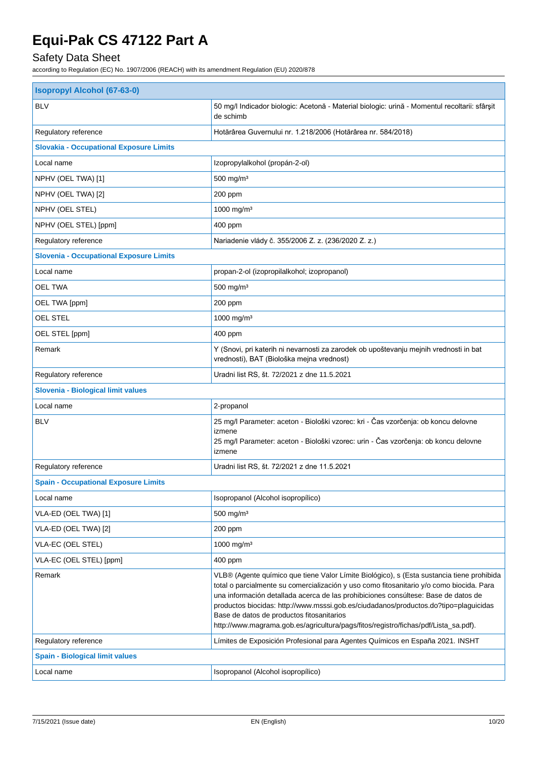## Safety Data Sheet

| <b>Isopropyl Alcohol (67-63-0)</b>             |                                                                                                                                                                                                                                                                                                                                                                                                                                                                                                         |  |
|------------------------------------------------|---------------------------------------------------------------------------------------------------------------------------------------------------------------------------------------------------------------------------------------------------------------------------------------------------------------------------------------------------------------------------------------------------------------------------------------------------------------------------------------------------------|--|
| <b>BLV</b>                                     | 50 mg/l Indicador biologic: Acetonă - Material biologic: urină - Momentul recoltarii: sfârșit<br>de schimb                                                                                                                                                                                                                                                                                                                                                                                              |  |
| Regulatory reference                           | Hotărârea Guvernului nr. 1.218/2006 (Hotărârea nr. 584/2018)                                                                                                                                                                                                                                                                                                                                                                                                                                            |  |
| <b>Slovakia - Occupational Exposure Limits</b> |                                                                                                                                                                                                                                                                                                                                                                                                                                                                                                         |  |
| Local name                                     | Izopropylalkohol (propán-2-ol)                                                                                                                                                                                                                                                                                                                                                                                                                                                                          |  |
| NPHV (OEL TWA) [1]                             | 500 mg/m <sup>3</sup>                                                                                                                                                                                                                                                                                                                                                                                                                                                                                   |  |
| NPHV (OEL TWA) [2]                             | 200 ppm                                                                                                                                                                                                                                                                                                                                                                                                                                                                                                 |  |
| NPHV (OEL STEL)                                | 1000 mg/m <sup>3</sup>                                                                                                                                                                                                                                                                                                                                                                                                                                                                                  |  |
| NPHV (OEL STEL) [ppm]                          | 400 ppm                                                                                                                                                                                                                                                                                                                                                                                                                                                                                                 |  |
| Regulatory reference                           | Nariadenie vlády č. 355/2006 Z. z. (236/2020 Z. z.)                                                                                                                                                                                                                                                                                                                                                                                                                                                     |  |
| <b>Slovenia - Occupational Exposure Limits</b> |                                                                                                                                                                                                                                                                                                                                                                                                                                                                                                         |  |
| Local name                                     | propan-2-ol (izopropilalkohol; izopropanol)                                                                                                                                                                                                                                                                                                                                                                                                                                                             |  |
| <b>OEL TWA</b>                                 | 500 mg/m <sup>3</sup>                                                                                                                                                                                                                                                                                                                                                                                                                                                                                   |  |
| OEL TWA [ppm]                                  | 200 ppm                                                                                                                                                                                                                                                                                                                                                                                                                                                                                                 |  |
| <b>OEL STEL</b>                                | 1000 mg/m <sup>3</sup>                                                                                                                                                                                                                                                                                                                                                                                                                                                                                  |  |
| OEL STEL [ppm]                                 | 400 ppm                                                                                                                                                                                                                                                                                                                                                                                                                                                                                                 |  |
| Remark                                         | Y (Snovi, pri katerih ni nevarnosti za zarodek ob upoštevanju mejnih vrednosti in bat<br>vrednosti), BAT (Biološka mejna vrednost)                                                                                                                                                                                                                                                                                                                                                                      |  |
| Regulatory reference                           | Uradni list RS, št. 72/2021 z dne 11.5.2021                                                                                                                                                                                                                                                                                                                                                                                                                                                             |  |
| Slovenia - Biological limit values             |                                                                                                                                                                                                                                                                                                                                                                                                                                                                                                         |  |
| Local name                                     | 2-propanol                                                                                                                                                                                                                                                                                                                                                                                                                                                                                              |  |
| <b>BLV</b>                                     | 25 mg/l Parameter: aceton - Biološki vzorec: kri - Čas vzorčenja: ob koncu delovne<br>izmene<br>25 mg/l Parameter: aceton - Biološki vzorec: urin - Čas vzorčenja: ob koncu delovne<br>izmene                                                                                                                                                                                                                                                                                                           |  |
| Regulatory reference                           | Uradni list RS, št. 72/2021 z dne 11.5.2021                                                                                                                                                                                                                                                                                                                                                                                                                                                             |  |
| <b>Spain - Occupational Exposure Limits</b>    |                                                                                                                                                                                                                                                                                                                                                                                                                                                                                                         |  |
| Local name                                     | Isopropanol (Alcohol isopropílico)                                                                                                                                                                                                                                                                                                                                                                                                                                                                      |  |
| VLA-ED (OEL TWA) [1]                           | 500 mg/m <sup>3</sup>                                                                                                                                                                                                                                                                                                                                                                                                                                                                                   |  |
| VLA-ED (OEL TWA) [2]                           | 200 ppm                                                                                                                                                                                                                                                                                                                                                                                                                                                                                                 |  |
| VLA-EC (OEL STEL)                              | 1000 mg/m <sup>3</sup>                                                                                                                                                                                                                                                                                                                                                                                                                                                                                  |  |
| VLA-EC (OEL STEL) [ppm]                        | 400 ppm                                                                                                                                                                                                                                                                                                                                                                                                                                                                                                 |  |
| Remark                                         | VLB® (Agente químico que tiene Valor Límite Biológico), s (Esta sustancia tiene prohibida<br>total o parcialmente su comercialización y uso como fitosanitario y/o como biocida. Para<br>una información detallada acerca de las prohibiciones consúltese: Base de datos de<br>productos biocidas: http://www.msssi.gob.es/ciudadanos/productos.do?tipo=plaguicidas<br>Base de datos de productos fitosanitarios<br>http://www.magrama.gob.es/agricultura/pags/fitos/registro/fichas/pdf/Lista_sa.pdf). |  |
| Regulatory reference                           | Límites de Exposición Profesional para Agentes Químicos en España 2021. INSHT                                                                                                                                                                                                                                                                                                                                                                                                                           |  |
| <b>Spain - Biological limit values</b>         |                                                                                                                                                                                                                                                                                                                                                                                                                                                                                                         |  |
| Local name                                     | Isopropanol (Alcohol isopropílico)                                                                                                                                                                                                                                                                                                                                                                                                                                                                      |  |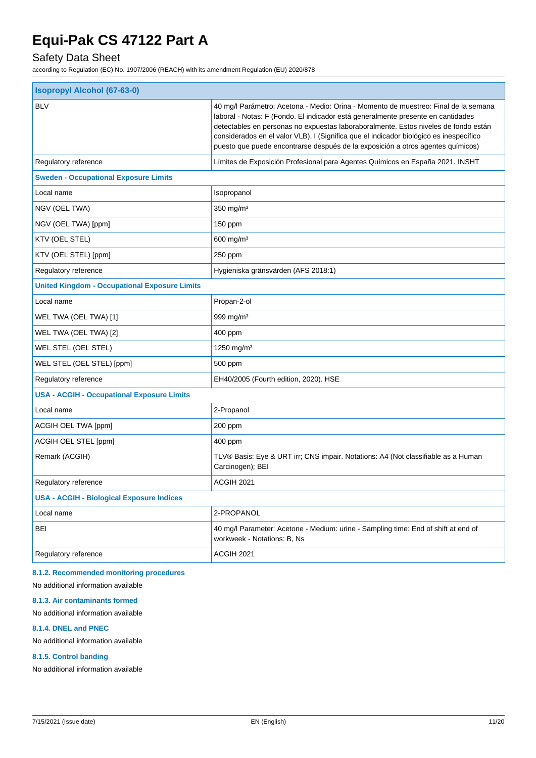## Safety Data Sheet

according to Regulation (EC) No. 1907/2006 (REACH) with its amendment Regulation (EU) 2020/878

| <b>Isopropyl Alcohol (67-63-0)</b>                   |                                                                                                                                                                                                                                                                                                                                                                                                                                             |  |
|------------------------------------------------------|---------------------------------------------------------------------------------------------------------------------------------------------------------------------------------------------------------------------------------------------------------------------------------------------------------------------------------------------------------------------------------------------------------------------------------------------|--|
| <b>BLV</b>                                           | 40 mg/l Parámetro: Acetona - Medio: Orina - Momento de muestreo: Final de la semana<br>laboral - Notas: F (Fondo. El indicador está generalmente presente en cantidades<br>detectables en personas no expuestas laboraboralmente. Estos niveles de fondo están<br>considerados en el valor VLB), I (Significa que el indicador biológico es inespecífico<br>puesto que puede encontrarse después de la exposición a otros agentes químicos) |  |
| Regulatory reference                                 | Límites de Exposición Profesional para Agentes Químicos en España 2021. INSHT                                                                                                                                                                                                                                                                                                                                                               |  |
| <b>Sweden - Occupational Exposure Limits</b>         |                                                                                                                                                                                                                                                                                                                                                                                                                                             |  |
| Local name                                           | Isopropanol                                                                                                                                                                                                                                                                                                                                                                                                                                 |  |
| NGV (OEL TWA)                                        | $350$ mg/m <sup>3</sup>                                                                                                                                                                                                                                                                                                                                                                                                                     |  |
| NGV (OEL TWA) [ppm]                                  | 150 ppm                                                                                                                                                                                                                                                                                                                                                                                                                                     |  |
| KTV (OEL STEL)                                       | $600$ mg/m <sup>3</sup>                                                                                                                                                                                                                                                                                                                                                                                                                     |  |
| KTV (OEL STEL) [ppm]                                 | 250 ppm                                                                                                                                                                                                                                                                                                                                                                                                                                     |  |
| Regulatory reference                                 | Hygieniska gränsvärden (AFS 2018:1)                                                                                                                                                                                                                                                                                                                                                                                                         |  |
| <b>United Kingdom - Occupational Exposure Limits</b> |                                                                                                                                                                                                                                                                                                                                                                                                                                             |  |
| Local name                                           | Propan-2-ol                                                                                                                                                                                                                                                                                                                                                                                                                                 |  |
| WEL TWA (OEL TWA) [1]                                | 999 mg/m <sup>3</sup>                                                                                                                                                                                                                                                                                                                                                                                                                       |  |
| WEL TWA (OEL TWA) [2]                                | 400 ppm                                                                                                                                                                                                                                                                                                                                                                                                                                     |  |
| WEL STEL (OEL STEL)                                  | 1250 mg/m <sup>3</sup>                                                                                                                                                                                                                                                                                                                                                                                                                      |  |
| WEL STEL (OEL STEL) [ppm]                            | 500 ppm                                                                                                                                                                                                                                                                                                                                                                                                                                     |  |
| Regulatory reference                                 | EH40/2005 (Fourth edition, 2020). HSE                                                                                                                                                                                                                                                                                                                                                                                                       |  |
| <b>USA - ACGIH - Occupational Exposure Limits</b>    |                                                                                                                                                                                                                                                                                                                                                                                                                                             |  |
| Local name                                           | 2-Propanol                                                                                                                                                                                                                                                                                                                                                                                                                                  |  |
| ACGIH OEL TWA [ppm]                                  | 200 ppm                                                                                                                                                                                                                                                                                                                                                                                                                                     |  |
| ACGIH OEL STEL [ppm]                                 | 400 ppm                                                                                                                                                                                                                                                                                                                                                                                                                                     |  |
| Remark (ACGIH)                                       | TLV® Basis: Eye & URT irr; CNS impair. Notations: A4 (Not classifiable as a Human<br>Carcinogen); BEI                                                                                                                                                                                                                                                                                                                                       |  |
| Regulatory reference                                 | ACGIH 2021                                                                                                                                                                                                                                                                                                                                                                                                                                  |  |
| <b>USA - ACGIH - Biological Exposure Indices</b>     |                                                                                                                                                                                                                                                                                                                                                                                                                                             |  |
| Local name                                           | 2-PROPANOL                                                                                                                                                                                                                                                                                                                                                                                                                                  |  |
| <b>BEI</b>                                           | 40 mg/l Parameter: Acetone - Medium: urine - Sampling time: End of shift at end of<br>workweek - Notations: B, Ns                                                                                                                                                                                                                                                                                                                           |  |
| Regulatory reference                                 | ACGIH 2021                                                                                                                                                                                                                                                                                                                                                                                                                                  |  |
|                                                      |                                                                                                                                                                                                                                                                                                                                                                                                                                             |  |

#### **8.1.2. Recommended monitoring procedures**

No additional information available

#### **8.1.3. Air contaminants formed**

### No additional information available

#### **8.1.4. DNEL and PNEC**

No additional information available

#### **8.1.5. Control banding**

No additional information available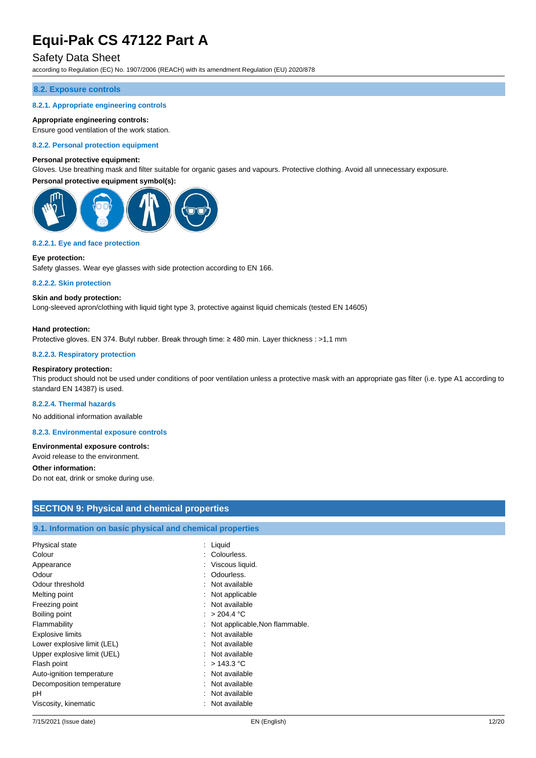### Safety Data Sheet

according to Regulation (EC) No. 1907/2006 (REACH) with its amendment Regulation (EU) 2020/878

#### **8.2. Exposure controls**

#### **8.2.1. Appropriate engineering controls**

#### **Appropriate engineering controls:**

Ensure good ventilation of the work station.

#### **8.2.2. Personal protection equipment**

#### **Personal protective equipment:**

Gloves. Use breathing mask and filter suitable for organic gases and vapours. Protective clothing. Avoid all unnecessary exposure.

#### **Personal protective equipment symbol(s):**



#### **8.2.2.1. Eye and face protection**

#### **Eye protection:**

Safety glasses. Wear eye glasses with side protection according to EN 166.

#### **8.2.2.2. Skin protection**

#### **Skin and body protection:**

Long-sleeved apron/clothing with liquid tight type 3, protective against liquid chemicals (tested EN 14605)

#### **Hand protection:**

Protective gloves. EN 374. Butyl rubber. Break through time: ≥ 480 min. Layer thickness : >1,1 mm

#### **8.2.2.3. Respiratory protection**

#### **Respiratory protection:**

This product should not be used under conditions of poor ventilation unless a protective mask with an appropriate gas filter (i.e. type A1 according to standard EN 14387) is used.

#### **8.2.2.4. Thermal hazards**

No additional information available

**8.2.3. Environmental exposure controls**

#### **Environmental exposure controls:**

Avoid release to the environment.

#### **Other information:**

Do not eat, drink or smoke during use.

| <b>SECTION 9: Physical and chemical properties</b>         |                                  |  |
|------------------------------------------------------------|----------------------------------|--|
|                                                            |                                  |  |
| 9.1. Information on basic physical and chemical properties |                                  |  |
| Physical state                                             | $:$ Liquid                       |  |
| Colour                                                     | : Colourless.                    |  |
| Appearance                                                 | : Viscous liquid.                |  |
| Odour                                                      | Odourless.<br>÷.                 |  |
| Odour threshold                                            | : Not available                  |  |
| Melting point                                              | : Not applicable                 |  |
| Freezing point                                             | : Not available                  |  |
| Boiling point                                              | : $> 204.4$ °C                   |  |
| Flammability                                               | : Not applicable, Non flammable. |  |
| <b>Explosive limits</b>                                    | : Not available                  |  |
| Lower explosive limit (LEL)                                | : Not available                  |  |
| Upper explosive limit (UEL)                                | : Not available                  |  |
| Flash point                                                | : $> 143.3$ °C                   |  |
| Auto-ignition temperature                                  | : Not available                  |  |
| Decomposition temperature                                  | : Not available                  |  |
| рH                                                         | : Not available                  |  |
| Viscosity, kinematic                                       | : Not available                  |  |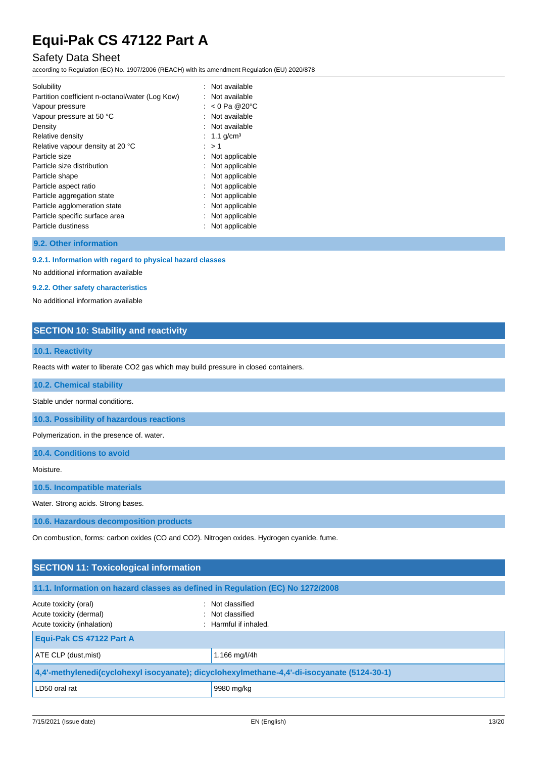### Safety Data Sheet

according to Regulation (EC) No. 1907/2006 (REACH) with its amendment Regulation (EU) 2020/878

| Solubility                                      | : Not available         |
|-------------------------------------------------|-------------------------|
| Partition coefficient n-octanol/water (Log Kow) | : Not available         |
| Vapour pressure                                 | : $< 0$ Pa @20°C        |
| Vapour pressure at 50 °C                        | : Not available         |
| Density                                         | : Not available         |
| Relative density                                | : 1.1 g/cm <sup>3</sup> |
| Relative vapour density at 20 °C                | : > 1                   |
| Particle size                                   | : Not applicable        |
| Particle size distribution                      | Not applicable          |
| Particle shape                                  | Not applicable          |
| Particle aspect ratio                           | Not applicable          |
| Particle aggregation state                      | Not applicable          |
| Particle agglomeration state                    | : Not applicable        |
| Particle specific surface area                  | Not applicable          |
| Particle dustiness                              | Not applicable          |

**9.2. Other information**

#### **9.2.1. Information with regard to physical hazard classes**

No additional information available

#### **9.2.2. Other safety characteristics**

No additional information available

### **SECTION 10: Stability and reactivity**

### **10.1. Reactivity**

Reacts with water to liberate CO2 gas which may build pressure in closed containers.

**10.2. Chemical stability**

Stable under normal conditions.

**10.3. Possibility of hazardous reactions**

Polymerization. in the presence of. water.

**10.4. Conditions to avoid**

Moisture.

**10.5. Incompatible materials**

Water. Strong acids. Strong bases.

**10.6. Hazardous decomposition products**

On combustion, forms: carbon oxides (CO and CO2). Nitrogen oxides. Hydrogen cyanide. fume.

| <b>SECTION 11: Toxicological information</b>                                                |                                                                 |  |
|---------------------------------------------------------------------------------------------|-----------------------------------------------------------------|--|
| 11.1. Information on hazard classes as defined in Regulation (EC) No 1272/2008              |                                                                 |  |
| Acute toxicity (oral)<br>Acute toxicity (dermal)<br>Acute toxicity (inhalation)             | : Not classified<br>: Not classified<br>$:$ Harmful if inhaled. |  |
| Equi-Pak CS 47122 Part A                                                                    |                                                                 |  |
| ATE CLP (dust, mist)                                                                        | 1.166 mg/l/4h                                                   |  |
| 4,4'-methylenedi(cyclohexyl isocyanate); dicyclohexylmethane-4,4'-di-isocyanate (5124-30-1) |                                                                 |  |
| LD50 oral rat                                                                               | 9980 mg/kg                                                      |  |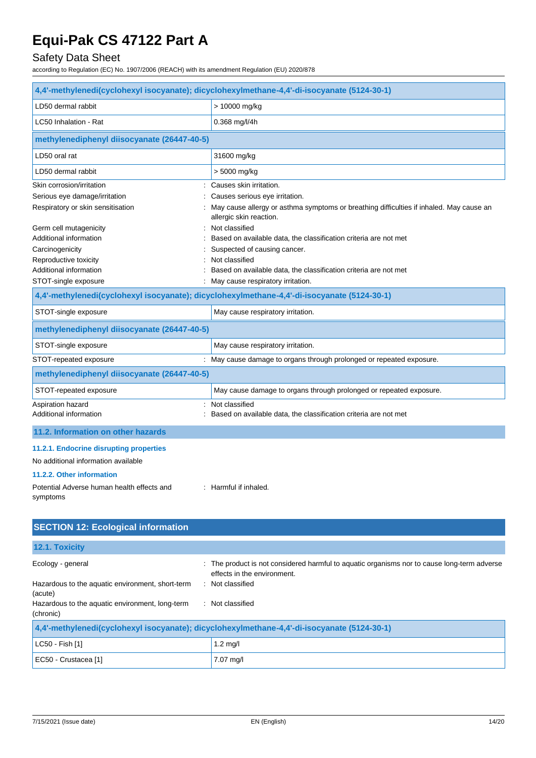## Safety Data Sheet

according to Regulation (EC) No. 1907/2006 (REACH) with its amendment Regulation (EU) 2020/878

| 4,4'-methylenedi(cyclohexyl isocyanate); dicyclohexylmethane-4,4'-di-isocyanate (5124-30-1) |                                                                                                                    |  |
|---------------------------------------------------------------------------------------------|--------------------------------------------------------------------------------------------------------------------|--|
| LD50 dermal rabbit                                                                          | > 10000 mg/kg                                                                                                      |  |
| LC50 Inhalation - Rat                                                                       | $0.368$ mg/l/4h                                                                                                    |  |
| methylenediphenyl diisocyanate (26447-40-5)                                                 |                                                                                                                    |  |
| LD50 oral rat                                                                               | 31600 mg/kg                                                                                                        |  |
| LD50 dermal rabbit                                                                          | > 5000 mg/kg                                                                                                       |  |
| Skin corrosion/irritation                                                                   | Causes skin irritation.                                                                                            |  |
| Serious eye damage/irritation                                                               | Causes serious eye irritation.                                                                                     |  |
| Respiratory or skin sensitisation                                                           | May cause allergy or asthma symptoms or breathing difficulties if inhaled. May cause an<br>allergic skin reaction. |  |
| Germ cell mutagenicity                                                                      | : Not classified                                                                                                   |  |
| Additional information                                                                      | Based on available data, the classification criteria are not met                                                   |  |
| Carcinogenicity                                                                             | Suspected of causing cancer.                                                                                       |  |
| Reproductive toxicity                                                                       | Not classified                                                                                                     |  |
| Additional information                                                                      | Based on available data, the classification criteria are not met                                                   |  |
| STOT-single exposure                                                                        | : May cause respiratory irritation.                                                                                |  |
| 4,4'-methylenedi(cyclohexyl isocyanate); dicyclohexylmethane-4,4'-di-isocyanate (5124-30-1) |                                                                                                                    |  |
| STOT-single exposure                                                                        | May cause respiratory irritation.                                                                                  |  |
| methylenediphenyl diisocyanate (26447-40-5)                                                 |                                                                                                                    |  |
| STOT-single exposure                                                                        | May cause respiratory irritation.                                                                                  |  |
| STOT-repeated exposure                                                                      | : May cause damage to organs through prolonged or repeated exposure.                                               |  |
| methylenediphenyl diisocyanate (26447-40-5)                                                 |                                                                                                                    |  |
| STOT-repeated exposure                                                                      | May cause damage to organs through prolonged or repeated exposure.                                                 |  |
| Aspiration hazard                                                                           | : Not classified                                                                                                   |  |
| Additional information                                                                      | Based on available data, the classification criteria are not met                                                   |  |
| 11.2. Information on other hazards                                                          |                                                                                                                    |  |
| 11.2.1. Endocrine disrupting properties                                                     |                                                                                                                    |  |
| No additional information available                                                         |                                                                                                                    |  |
| 11.2.2. Other information                                                                   |                                                                                                                    |  |
| Potential Adverse human health effects and<br>symptoms                                      | : Harmful if inhaled.                                                                                              |  |
|                                                                                             |                                                                                                                    |  |
| <b>SECTION 12: Ecological information</b>                                                   |                                                                                                                    |  |

| 12.1. Toxicity                                                                              |                                                                                                                            |  |
|---------------------------------------------------------------------------------------------|----------------------------------------------------------------------------------------------------------------------------|--|
| Ecology - general                                                                           | : The product is not considered harmful to aquatic organisms nor to cause long-term adverse<br>effects in the environment. |  |
| Hazardous to the aquatic environment, short-term<br>(acute)                                 | : Not classified                                                                                                           |  |
| Hazardous to the aquatic environment, long-term<br>(chronic)                                | : Not classified                                                                                                           |  |
| 4,4'-methylenedi(cyclohexyl isocyanate); dicyclohexylmethane-4,4'-di-isocyanate (5124-30-1) |                                                                                                                            |  |
| LC50 - Fish [1]                                                                             | $1.2 \text{ mq/l}$                                                                                                         |  |

EC50 - Crustacea [1] 7.07 mg/l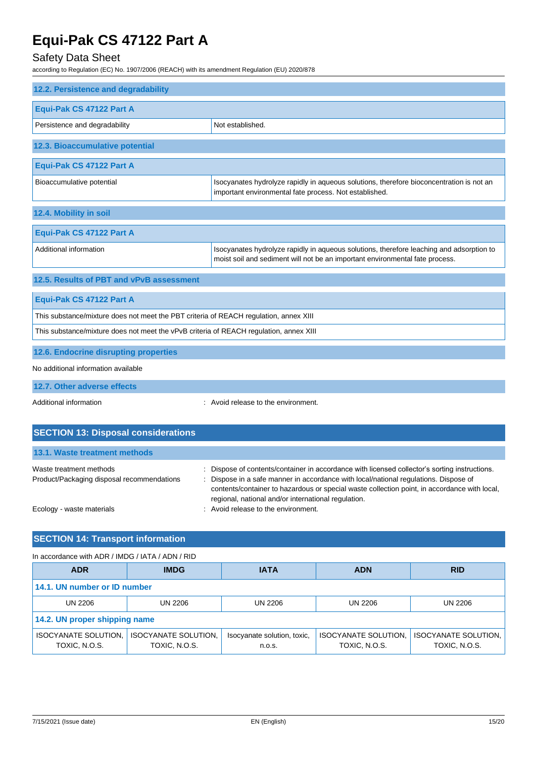### Safety Data Sheet

according to Regulation (EC) No. 1907/2006 (REACH) with its amendment Regulation (EU) 2020/878

| 12.2. Persistence and degradability                                                    |                                                                                                                                                                          |  |
|----------------------------------------------------------------------------------------|--------------------------------------------------------------------------------------------------------------------------------------------------------------------------|--|
| Equi-Pak CS 47122 Part A                                                               |                                                                                                                                                                          |  |
| Persistence and degradability                                                          | Not established.                                                                                                                                                         |  |
| 12.3. Bioaccumulative potential                                                        |                                                                                                                                                                          |  |
| Equi-Pak CS 47122 Part A                                                               |                                                                                                                                                                          |  |
| Bioaccumulative potential                                                              | Isocyanates hydrolyze rapidly in aqueous solutions, therefore bioconcentration is not an<br>important environmental fate process. Not established.                       |  |
| 12.4. Mobility in soil                                                                 |                                                                                                                                                                          |  |
| Equi-Pak CS 47122 Part A                                                               |                                                                                                                                                                          |  |
| Additional information                                                                 | Isocyanates hydrolyze rapidly in aqueous solutions, therefore leaching and adsorption to<br>moist soil and sediment will not be an important environmental fate process. |  |
| 12.5. Results of PBT and vPvB assessment                                               |                                                                                                                                                                          |  |
| Equi-Pak CS 47122 Part A                                                               |                                                                                                                                                                          |  |
| This substance/mixture does not meet the PBT criteria of REACH regulation, annex XIII  |                                                                                                                                                                          |  |
| This substance/mixture does not meet the vPvB criteria of REACH regulation, annex XIII |                                                                                                                                                                          |  |
| 12.6. Endocrine disrupting properties                                                  |                                                                                                                                                                          |  |
| No additional information available                                                    |                                                                                                                                                                          |  |
| 12.7. Other adverse effects                                                            |                                                                                                                                                                          |  |

Additional information **interest in the environment** of the environment.

| <b>SECTION 13: Disposal considerations</b>                            |                                                                                                                                                                                                                                                                                                                                              |  |
|-----------------------------------------------------------------------|----------------------------------------------------------------------------------------------------------------------------------------------------------------------------------------------------------------------------------------------------------------------------------------------------------------------------------------------|--|
| 13.1. Waste treatment methods                                         |                                                                                                                                                                                                                                                                                                                                              |  |
| Waste treatment methods<br>Product/Packaging disposal recommendations | : Dispose of contents/container in accordance with licensed collector's sorting instructions.<br>: Dispose in a safe manner in accordance with local/national regulations. Dispose of<br>contents/container to hazardous or special waste collection point, in accordance with local,<br>regional, national and/or international regulation. |  |
| Ecology - waste materials                                             | : Avoid release to the environment.                                                                                                                                                                                                                                                                                                          |  |

### **SECTION 14: Transport information**

#### In accordance with ADR / IMDG / IATA / ADN / RID **ADR IMDG IATA ADN RID 14.1. UN number or ID number** UN 2206 UN 2206 UN 2206 UN 2206 UN 2206 **14.2. UN proper shipping name** ISOCYANATE SOLUTION, TOXIC, N.O.S. ISOCYANATE SOLUTION, TOXIC, N.O.S. Isocyanate solution, toxic, n.o.s. ISOCYANATE SOLUTION, TOXIC, N.O.S. ISOCYANATE SOLUTION, TOXIC, N.O.S.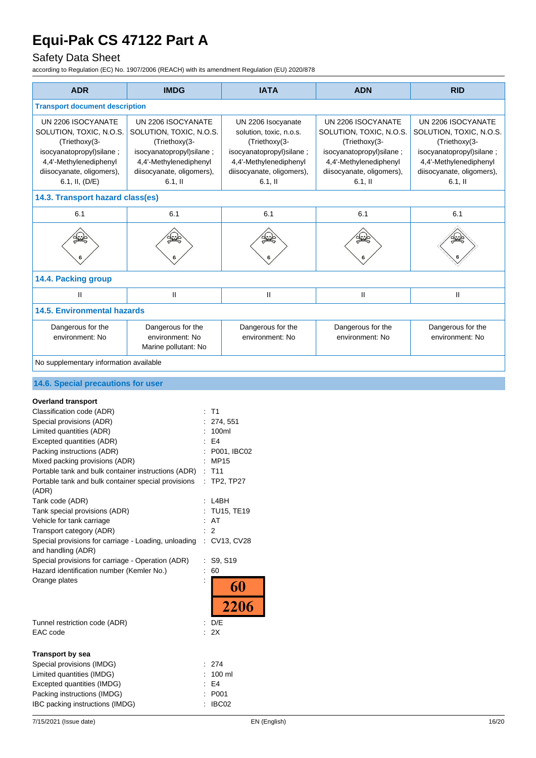## Safety Data Sheet

| <b>ADR</b>                                                                                                                                                                                                                                                                                                                                                                                                                                                                                                                                                                                                                                                                              | <b>IMDG</b>                                                                                                                                                    | <b>IATA</b>                                                                                                                                                                                     | <b>ADN</b>                                                                                                                                                      | <b>RID</b>                                                                                                                                                     |
|-----------------------------------------------------------------------------------------------------------------------------------------------------------------------------------------------------------------------------------------------------------------------------------------------------------------------------------------------------------------------------------------------------------------------------------------------------------------------------------------------------------------------------------------------------------------------------------------------------------------------------------------------------------------------------------------|----------------------------------------------------------------------------------------------------------------------------------------------------------------|-------------------------------------------------------------------------------------------------------------------------------------------------------------------------------------------------|-----------------------------------------------------------------------------------------------------------------------------------------------------------------|----------------------------------------------------------------------------------------------------------------------------------------------------------------|
| <b>Transport document description</b>                                                                                                                                                                                                                                                                                                                                                                                                                                                                                                                                                                                                                                                   |                                                                                                                                                                |                                                                                                                                                                                                 |                                                                                                                                                                 |                                                                                                                                                                |
| UN 2206 ISOCYANATE<br>SOLUTION, TOXIC, N.O.S.<br>(Triethoxy(3-<br>isocyanatopropyl) silane;<br>4,4'-Methylenediphenyl<br>diisocyanate, oligomers),<br>6.1, II, (D/E)                                                                                                                                                                                                                                                                                                                                                                                                                                                                                                                    | UN 2206 ISOCYANATE<br>SOLUTION, TOXIC, N.O.S.<br>(Triethoxy(3-<br>isocyanatopropyl)silane;<br>4,4'-Methylenediphenyl<br>diisocyanate, oligomers),<br>$6.1,$ II | UN 2206 Isocyanate<br>solution, toxic, n.o.s.<br>(Triethoxy(3-<br>isocyanatopropyl)silane;<br>4,4'-Methylenediphenyl<br>diisocyanate, oligomers),<br>$6.1,$ II                                  | UN 2206 ISOCYANATE<br>SOLUTION, TOXIC, N.O.S.<br>(Triethoxy(3-<br>isocyanatopropyl)silane;<br>4,4'-Methylenediphenyl<br>diisocyanate, oligomers),<br>$6.1$ , II | UN 2206 ISOCYANATE<br>SOLUTION, TOXIC, N.O.S.<br>(Triethoxy(3-<br>isocyanatopropyl)silane;<br>4,4'-Methylenediphenyl<br>diisocyanate, oligomers),<br>$6.1,$ II |
| 14.3. Transport hazard class(es)                                                                                                                                                                                                                                                                                                                                                                                                                                                                                                                                                                                                                                                        |                                                                                                                                                                |                                                                                                                                                                                                 |                                                                                                                                                                 |                                                                                                                                                                |
| 6.1                                                                                                                                                                                                                                                                                                                                                                                                                                                                                                                                                                                                                                                                                     | 6.1                                                                                                                                                            | 6.1                                                                                                                                                                                             | 6.1                                                                                                                                                             | 6.1                                                                                                                                                            |
|                                                                                                                                                                                                                                                                                                                                                                                                                                                                                                                                                                                                                                                                                         |                                                                                                                                                                |                                                                                                                                                                                                 |                                                                                                                                                                 |                                                                                                                                                                |
| 14.4. Packing group                                                                                                                                                                                                                                                                                                                                                                                                                                                                                                                                                                                                                                                                     |                                                                                                                                                                |                                                                                                                                                                                                 |                                                                                                                                                                 |                                                                                                                                                                |
| $\mathbf{I}$                                                                                                                                                                                                                                                                                                                                                                                                                                                                                                                                                                                                                                                                            | $\mathsf{I}$                                                                                                                                                   | $\mathsf{I}$                                                                                                                                                                                    | $\mathbf{II}$                                                                                                                                                   | Ш                                                                                                                                                              |
| <b>14.5. Environmental hazards</b>                                                                                                                                                                                                                                                                                                                                                                                                                                                                                                                                                                                                                                                      |                                                                                                                                                                |                                                                                                                                                                                                 |                                                                                                                                                                 |                                                                                                                                                                |
| Dangerous for the<br>environment: No                                                                                                                                                                                                                                                                                                                                                                                                                                                                                                                                                                                                                                                    | Dangerous for the<br>environment: No<br>Marine pollutant: No                                                                                                   | Dangerous for the<br>environment: No                                                                                                                                                            | Dangerous for the<br>environment: No                                                                                                                            | Dangerous for the<br>environment: No                                                                                                                           |
| No supplementary information available                                                                                                                                                                                                                                                                                                                                                                                                                                                                                                                                                                                                                                                  |                                                                                                                                                                |                                                                                                                                                                                                 |                                                                                                                                                                 |                                                                                                                                                                |
| 14.6. Special precautions for user                                                                                                                                                                                                                                                                                                                                                                                                                                                                                                                                                                                                                                                      |                                                                                                                                                                |                                                                                                                                                                                                 |                                                                                                                                                                 |                                                                                                                                                                |
| <b>Overland transport</b><br>Classification code (ADR)<br>Special provisions (ADR)<br>Limited quantities (ADR)<br>Excepted quantities (ADR)<br>Packing instructions (ADR)<br>Mixed packing provisions (ADR)<br>Portable tank and bulk container instructions (ADR) : T11<br>Portable tank and bulk container special provisions<br>(ADR)<br>Tank code (ADR)<br>Tank special provisions (ADR)<br>Vehicle for tank carriage<br>Transport category (ADR)<br>Special provisions for carriage - Loading, unloading<br>and handling (ADR)<br>Special provisions for carriage - Operation (ADR)<br>Hazard identification number (Kemler No.)<br>Orange plates<br>Tunnel restriction code (ADR) |                                                                                                                                                                | T1<br>274, 551<br>100ml<br>E4<br>P001, IBC02<br><b>MP15</b><br>TP2, TP27<br>: L4BH<br>TU15, TE19<br>: AT<br>$\overline{2}$<br>: CV13, CV28<br>: S9, S19<br>$\therefore 60$<br>60<br><b>2206</b> |                                                                                                                                                                 |                                                                                                                                                                |
| : D/E<br>EAC code<br>: 2X                                                                                                                                                                                                                                                                                                                                                                                                                                                                                                                                                                                                                                                               |                                                                                                                                                                |                                                                                                                                                                                                 |                                                                                                                                                                 |                                                                                                                                                                |
| <b>Transport by sea</b><br>Special provisions (IMDG)<br>Limited quantities (IMDG)<br>Excepted quantities (IMDG)<br>Packing instructions (IMDG)<br>IBC packing instructions (IMDG)                                                                                                                                                                                                                                                                                                                                                                                                                                                                                                       |                                                                                                                                                                | 274<br>100 ml<br>E4<br>P001<br>IBC02                                                                                                                                                            |                                                                                                                                                                 |                                                                                                                                                                |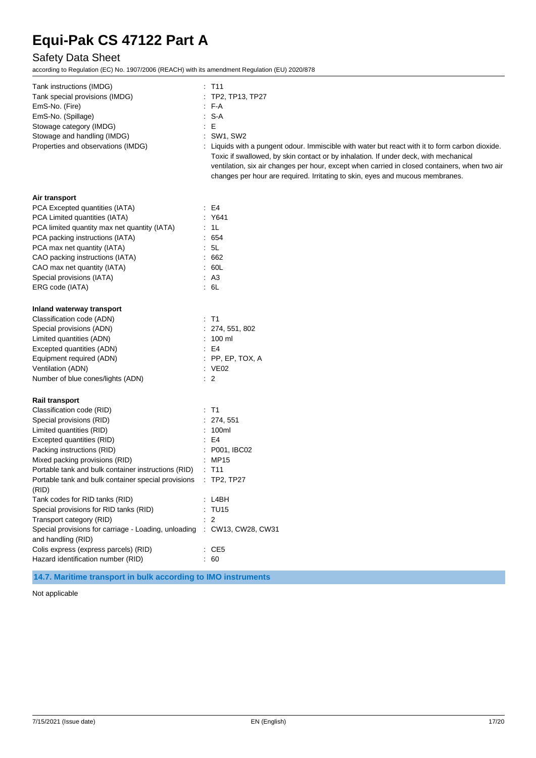## Safety Data Sheet

according to Regulation (EC) No. 1907/2006 (REACH) with its amendment Regulation (EU) 2020/878

| Tank instructions (IMDG)                                                                      | $:$ T11                                                                                                                                                                                                                                                                                                                                                                   |
|-----------------------------------------------------------------------------------------------|---------------------------------------------------------------------------------------------------------------------------------------------------------------------------------------------------------------------------------------------------------------------------------------------------------------------------------------------------------------------------|
| Tank special provisions (IMDG)                                                                | : TP2, TP13, TP27                                                                                                                                                                                                                                                                                                                                                         |
| EmS-No. (Fire)                                                                                | : FA                                                                                                                                                                                                                                                                                                                                                                      |
| EmS-No. (Spillage)                                                                            | : S-A                                                                                                                                                                                                                                                                                                                                                                     |
| Stowage category (IMDG)                                                                       | E                                                                                                                                                                                                                                                                                                                                                                         |
| Stowage and handling (IMDG)                                                                   | : SW1, SW2                                                                                                                                                                                                                                                                                                                                                                |
| Properties and observations (IMDG)                                                            | : Liquids with a pungent odour. Immiscible with water but react with it to form carbon dioxide.<br>Toxic if swallowed, by skin contact or by inhalation. If under deck, with mechanical<br>ventilation, six air changes per hour, except when carried in closed containers, when two air<br>changes per hour are required. Irritating to skin, eyes and mucous membranes. |
| Air transport                                                                                 |                                                                                                                                                                                                                                                                                                                                                                           |
| PCA Excepted quantities (IATA)                                                                | $\pm$ E4                                                                                                                                                                                                                                                                                                                                                                  |
| PCA Limited quantities (IATA)                                                                 | : Y641                                                                                                                                                                                                                                                                                                                                                                    |
| PCA limited quantity max net quantity (IATA)                                                  | : 1L                                                                                                                                                                                                                                                                                                                                                                      |
| PCA packing instructions (IATA)                                                               | : 654                                                                                                                                                                                                                                                                                                                                                                     |
| PCA max net quantity (IATA)                                                                   | : 5L                                                                                                                                                                                                                                                                                                                                                                      |
| CAO packing instructions (IATA)                                                               | .662                                                                                                                                                                                                                                                                                                                                                                      |
| CAO max net quantity (IATA)                                                                   | .60L                                                                                                                                                                                                                                                                                                                                                                      |
| Special provisions (IATA)                                                                     | AA                                                                                                                                                                                                                                                                                                                                                                        |
| ERG code (IATA)                                                                               | : 6L                                                                                                                                                                                                                                                                                                                                                                      |
| Inland waterway transport                                                                     |                                                                                                                                                                                                                                                                                                                                                                           |
| Classification code (ADN)                                                                     | $:$ T1                                                                                                                                                                                                                                                                                                                                                                    |
| Special provisions (ADN)                                                                      | : 274, 551, 802                                                                                                                                                                                                                                                                                                                                                           |
| Limited quantities (ADN)                                                                      | $: 100$ ml                                                                                                                                                                                                                                                                                                                                                                |
| Excepted quantities (ADN)                                                                     | E4                                                                                                                                                                                                                                                                                                                                                                        |
| Equipment required (ADN)                                                                      | $:$ PP, EP, TOX, A                                                                                                                                                                                                                                                                                                                                                        |
| Ventilation (ADN)                                                                             | : VE02                                                                                                                                                                                                                                                                                                                                                                    |
| Number of blue cones/lights (ADN)                                                             | $\therefore$ 2                                                                                                                                                                                                                                                                                                                                                            |
| <b>Rail transport</b>                                                                         |                                                                                                                                                                                                                                                                                                                                                                           |
| Classification code (RID)                                                                     | $:$ T1                                                                                                                                                                                                                                                                                                                                                                    |
| Special provisions (RID)                                                                      | : 274, 551                                                                                                                                                                                                                                                                                                                                                                |
| Limited quantities (RID)                                                                      | : 100ml                                                                                                                                                                                                                                                                                                                                                                   |
| Excepted quantities (RID)                                                                     | E4                                                                                                                                                                                                                                                                                                                                                                        |
| Packing instructions (RID)                                                                    | : P001, IBC02                                                                                                                                                                                                                                                                                                                                                             |
| Mixed packing provisions (RID)                                                                | : MP15                                                                                                                                                                                                                                                                                                                                                                    |
| Portable tank and bulk container instructions (RID)                                           | : T11                                                                                                                                                                                                                                                                                                                                                                     |
| Portable tank and bulk container special provisions : TP2, TP27<br>(RID)                      |                                                                                                                                                                                                                                                                                                                                                                           |
| Tank codes for RID tanks (RID)                                                                | : LABH                                                                                                                                                                                                                                                                                                                                                                    |
| Special provisions for RID tanks (RID)                                                        | : TU15                                                                                                                                                                                                                                                                                                                                                                    |
| Transport category (RID)                                                                      | $\therefore$ 2                                                                                                                                                                                                                                                                                                                                                            |
| Special provisions for carriage - Loading, unloading : CW13, CW28, CW31<br>and handling (RID) |                                                                                                                                                                                                                                                                                                                                                                           |
| Colis express (express parcels) (RID)                                                         | $\therefore$ CE5                                                                                                                                                                                                                                                                                                                                                          |
| Hazard identification number (RID)                                                            | : 60                                                                                                                                                                                                                                                                                                                                                                      |

**14.7. Maritime transport in bulk according to IMO instruments**

Not applicable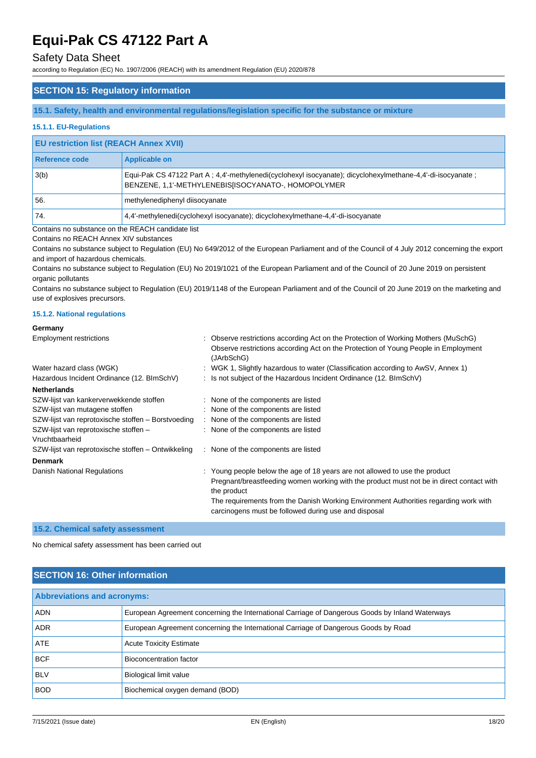### Safety Data Sheet

according to Regulation (EC) No. 1907/2006 (REACH) with its amendment Regulation (EU) 2020/878

### **SECTION 15: Regulatory information**

**15.1. Safety, health and environmental regulations/legislation specific for the substance or mixture**

### **15.1.1. EU-Regulations**

### **EU restriction list (REACH Annex XVII)**

| Reference code | Applicable on                                                                                                                                                     |
|----------------|-------------------------------------------------------------------------------------------------------------------------------------------------------------------|
| 3(b)           | Equi-Pak CS 47122 Part A; 4,4'-methylenedi(cyclohexyl isocyanate); dicyclohexylmethane-4,4'-di-isocyanate;<br>BENZENE, 1,1'-METHYLENEBIS[ISOCYANATO-, HOMOPOLYMER |
| 56.            | methylenediphenyl diisocyanate                                                                                                                                    |
| '74.           | 4,4'-methylenedi(cyclohexyl isocyanate); dicyclohexylmethane-4,4'-di-isocyanate                                                                                   |

Contains no substance on the REACH candidate list

Contains no REACH Annex XIV substances

Contains no substance subject to Regulation (EU) No 649/2012 of the European Parliament and of the Council of 4 July 2012 concerning the export and import of hazardous chemicals.

Contains no substance subject to Regulation (EU) No 2019/1021 of the European Parliament and of the Council of 20 June 2019 on persistent organic pollutants

Contains no substance subject to Regulation (EU) 2019/1148 of the European Parliament and of the Council of 20 June 2019 on the marketing and use of explosives precursors.

#### **15.1.2. National regulations**

## **Germany**

| <b>Employment restrictions</b>                          | : Observe restrictions according Act on the Protection of Working Mothers (MuSchG)<br>Observe restrictions according Act on the Protection of Young People in Employment<br>(JArbSchG)                                                                                                                                                 |
|---------------------------------------------------------|----------------------------------------------------------------------------------------------------------------------------------------------------------------------------------------------------------------------------------------------------------------------------------------------------------------------------------------|
| Water hazard class (WGK)                                | : WGK 1, Slightly hazardous to water (Classification according to AwSV, Annex 1)                                                                                                                                                                                                                                                       |
| Hazardous Incident Ordinance (12. BlmSchV)              | : Is not subject of the Hazardous Incident Ordinance (12. BImSchV)                                                                                                                                                                                                                                                                     |
| <b>Netherlands</b>                                      |                                                                                                                                                                                                                                                                                                                                        |
| SZW-lijst van kankerverwekkende stoffen                 | : None of the components are listed                                                                                                                                                                                                                                                                                                    |
| SZW-lijst van mutagene stoffen                          | : None of the components are listed                                                                                                                                                                                                                                                                                                    |
| SZW-lijst van reprotoxische stoffen - Borstvoeding      | : None of the components are listed                                                                                                                                                                                                                                                                                                    |
| SZW-lijst van reprotoxische stoffen -<br>Vruchtbaarheid | : None of the components are listed                                                                                                                                                                                                                                                                                                    |
| SZW-lijst van reprotoxische stoffen – Ontwikkeling      | : None of the components are listed                                                                                                                                                                                                                                                                                                    |
| <b>Denmark</b>                                          |                                                                                                                                                                                                                                                                                                                                        |
| Danish National Regulations                             | : Young people below the age of 18 years are not allowed to use the product<br>Pregnant/breastfeeding women working with the product must not be in direct contact with<br>the product<br>The requirements from the Danish Working Environment Authorities regarding work with<br>carcinogens must be followed during use and disposal |

#### **15.2. Chemical safety assessment**

No chemical safety assessment has been carried out

### **SECTION 16: Other information**

| <b>Abbreviations and acronyms:</b> |                                                                                                 |  |
|------------------------------------|-------------------------------------------------------------------------------------------------|--|
| <b>ADN</b>                         | European Agreement concerning the International Carriage of Dangerous Goods by Inland Waterways |  |
| <b>ADR</b>                         | European Agreement concerning the International Carriage of Dangerous Goods by Road             |  |
| <b>ATE</b>                         | <b>Acute Toxicity Estimate</b>                                                                  |  |
| <b>BCF</b>                         | Bioconcentration factor                                                                         |  |
| <b>BLV</b>                         | Biological limit value                                                                          |  |
| <b>BOD</b>                         | Biochemical oxygen demand (BOD)                                                                 |  |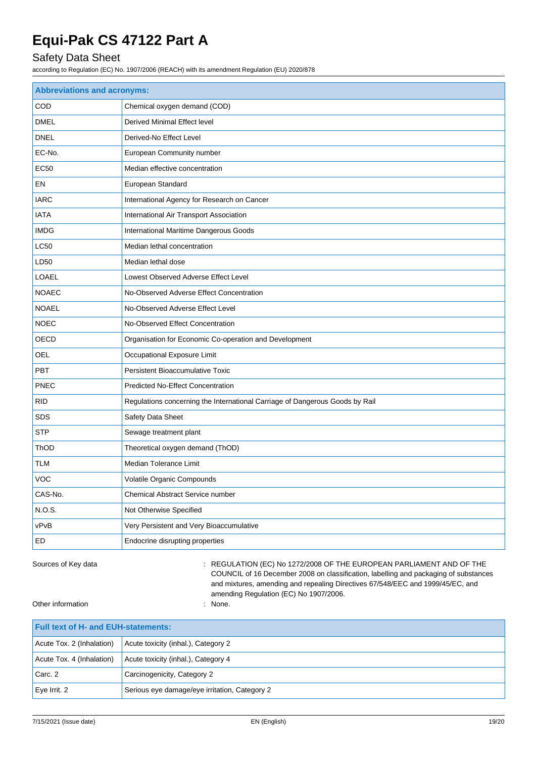## Safety Data Sheet

according to Regulation (EC) No. 1907/2006 (REACH) with its amendment Regulation (EU) 2020/878

| <b>Abbreviations and acronyms:</b> |                                                                              |  |  |
|------------------------------------|------------------------------------------------------------------------------|--|--|
| COD                                | Chemical oxygen demand (COD)                                                 |  |  |
| <b>DMEL</b>                        | Derived Minimal Effect level                                                 |  |  |
| <b>DNEL</b>                        | Derived-No Effect Level                                                      |  |  |
| EC-No.                             | European Community number                                                    |  |  |
| <b>EC50</b>                        | Median effective concentration                                               |  |  |
| EN                                 | European Standard                                                            |  |  |
| <b>IARC</b>                        | International Agency for Research on Cancer                                  |  |  |
| <b>IATA</b>                        | International Air Transport Association                                      |  |  |
| <b>IMDG</b>                        | International Maritime Dangerous Goods                                       |  |  |
| <b>LC50</b>                        | Median lethal concentration                                                  |  |  |
| LD50                               | Median lethal dose                                                           |  |  |
| LOAEL                              | Lowest Observed Adverse Effect Level                                         |  |  |
| <b>NOAEC</b>                       | No-Observed Adverse Effect Concentration                                     |  |  |
| <b>NOAEL</b>                       | No-Observed Adverse Effect Level                                             |  |  |
| <b>NOEC</b>                        | No-Observed Effect Concentration                                             |  |  |
| OECD                               | Organisation for Economic Co-operation and Development                       |  |  |
| OEL                                | Occupational Exposure Limit                                                  |  |  |
| PBT                                | <b>Persistent Bioaccumulative Toxic</b>                                      |  |  |
| <b>PNEC</b>                        | <b>Predicted No-Effect Concentration</b>                                     |  |  |
| <b>RID</b>                         | Regulations concerning the International Carriage of Dangerous Goods by Rail |  |  |
| <b>SDS</b>                         | Safety Data Sheet                                                            |  |  |
| <b>STP</b>                         | Sewage treatment plant                                                       |  |  |
| <b>ThOD</b>                        | Theoretical oxygen demand (ThOD)                                             |  |  |
| <b>TLM</b>                         | Median Tolerance Limit                                                       |  |  |
| <b>VOC</b>                         | Volatile Organic Compounds                                                   |  |  |
| CAS-No.                            | Chemical Abstract Service number                                             |  |  |
| N.O.S.                             | Not Otherwise Specified                                                      |  |  |
| vPvB                               | Very Persistent and Very Bioaccumulative                                     |  |  |
| ED                                 | Endocrine disrupting properties                                              |  |  |

Sources of Key data **in the state of Key data** : REGULATION (EC) No 1272/2008 OF THE EUROPEAN PARLIAMENT AND OF THE COUNCIL of 16 December 2008 on classification, labelling and packaging of substances and mixtures, amending and repealing Directives 67/548/EEC and 1999/45/EC, and amending Regulation (EC) No 1907/2006.

Other information : None.

| <b>Full text of H- and EUH-statements:</b> |                                               |  |
|--------------------------------------------|-----------------------------------------------|--|
| Acute Tox. 2 (Inhalation)                  | Acute toxicity (inhal.), Category 2           |  |
| Acute Tox. 4 (Inhalation)                  | Acute toxicity (inhal.), Category 4           |  |
| Carc. 2                                    | Carcinogenicity, Category 2                   |  |
| Eye Irrit. 2                               | Serious eye damage/eye irritation, Category 2 |  |